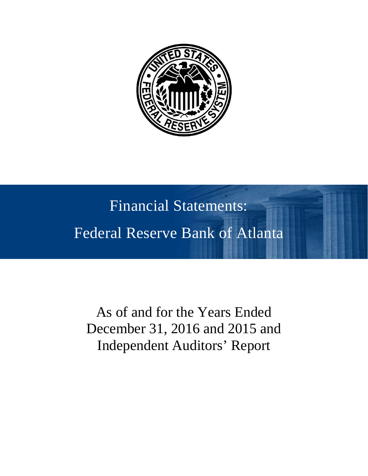

# Financial Statements: Federal Reserve Bank of Atlanta

As of and for the Years Ended December 31, 2016 and 2015 and Independent Auditors' Report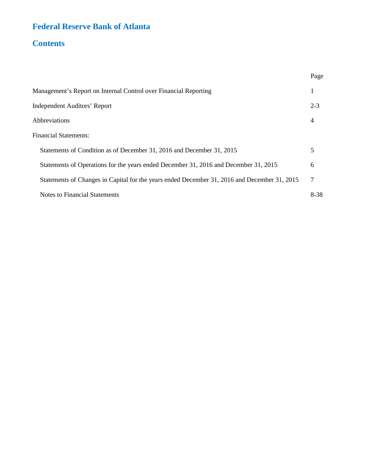### **Federal Reserve Bank of Atlanta**

### **Contents**

|                                                                                              | Page     |
|----------------------------------------------------------------------------------------------|----------|
| Management's Report on Internal Control over Financial Reporting                             | 1        |
| <b>Independent Auditors' Report</b>                                                          | $2 - 3$  |
| Abbreviations                                                                                | 4        |
| <b>Financial Statements:</b>                                                                 |          |
| Statements of Condition as of December 31, 2016 and December 31, 2015                        | 5        |
| Statements of Operations for the years ended December 31, 2016 and December 31, 2015         | 6        |
| Statements of Changes in Capital for the years ended December 31, 2016 and December 31, 2015 | 7        |
| <b>Notes to Financial Statements</b>                                                         | $8 - 38$ |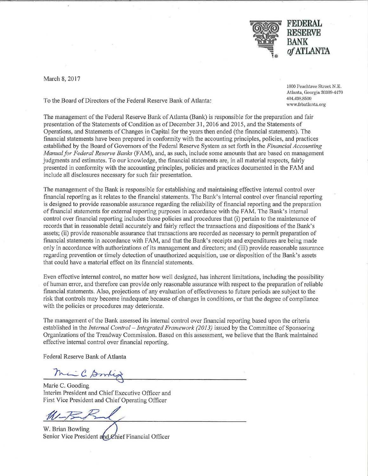

March 8, 2017

To the Board of Directors of the Federal Reserve Bank of Atlanta:

1000 Peachtree Street N.E. Atlanta, Georgia 30309-4470 404.498.8500 www.frbatlanta.org

The management of the Federal Reserve Bank of Atlanta (Bank) is responsible for the preparation and fair presentation of the Statements of Condition as of December 31, 2016 and 2015, and the Statements of Operations, and Statements of Changes in Capital for the years then ended (the financial statements). The financial statements have been prepared in conformity with the accounting principles, policies, and practices established by the Board of Governors of the Federal Reserve System as set forth in the Financial Accounting Manual for Federal Reserve Banks (FAM), and, as such, include some amounts that are based on management judgments and estimates. To our knowledge, the financial statements are, in all material respects, fairly presented in conformity with the accounting principles, policies and practices documented in the FAM and include all disclosures necessary for such fair presentation.

The management of the Bank is responsible for establishing and maintaining effective internal control over financial reporting as it relates to the financial statements. The Bank's internal control over financial reporting is designed to provide reasonable assurance regarding the reliability of financial reporting and the preparation of financial statements for external reporting purposes in accordance with the FAM. The Bank's internal control over financial reporting includes those policies and procedures that (i) pertain to the maintenance of records that in reasonable detail accurately and fairly reflect the transactions and dispositions of the Bank's assets; (ii) provide reasonable assurance that transactions are recorded as necessary to permit preparation of financial statements in accordance with FAM, and that the Bank's receipts and expenditures are being made only in accordance with authorizations of its management and directors; and (iii) provide reasonable assurance regarding prevention or timely detection of unauthorized acquisition, use or disposition of the Bank's assets that could have a material effect on its financial statements.

Even effective internal control, no matter how well designed, has inherent limitations, including the possibility of human error, and therefore can provide only reasonable assurance with respect to the preparation of reliable financial statements. Also, projections of any evaluation of effectiveness to future periods are subject to the risk that controls may become inadequate because of changes in conditions, or that the degree of compliance with the policies or procedures may deteriorate.

The management of the Bank assessed its internal control over financial reporting based upon the criteria established in the Internal Control - Integrated Framework (2013) issued by the Committee of Sponsoring Organizations of the Treadway Commission, Based on this assessment, we believe that the Bank maintained effective internal control over financial reporting.

Federal Reserve Bank of Atlanta

mi C Am

Marie C. Gooding Interim President and Chief Executive Officer and First Vice President and Chief Operating Officer

W. Brian Bowling Senior Vice President and Chief Financial Officer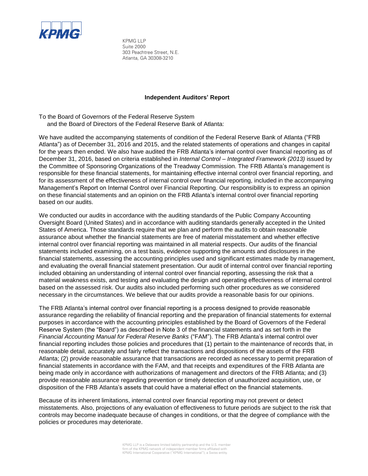

KPMG LLP Suite 2000 303 Peachtree Street, N.E. Atlanta, GA 30308-3210

#### **Independent Auditors' Report**

To the Board of Governors of the Federal Reserve System and the Board of Directors of the Federal Reserve Bank of Atlanta:

We have audited the accompanying statements of condition of the Federal Reserve Bank of Atlanta ("FRB Atlanta") as of December 31, 2016 and 2015, and the related statements of operations and changes in capital for the years then ended. We also have audited the FRB Atlanta's internal control over financial reporting as of December 31, 2016, based on criteria established in *Internal Control – Integrated Framework (2013)* issued by the Committee of Sponsoring Organizations of the Treadway Commission. The FRB Atlanta's management is responsible for these financial statements, for maintaining effective internal control over financial reporting, and for its assessment of the effectiveness of internal control over financial reporting, included in the accompanying Management's Report on Internal Control over Financial Reporting. Our responsibility is to express an opinion on these financial statements and an opinion on the FRB Atlanta's internal control over financial reporting based on our audits.

We conducted our audits in accordance with the auditing standards of the Public Company Accounting Oversight Board (United States) and in accordance with auditing standards generally accepted in the United States of America. Those standards require that we plan and perform the audits to obtain reasonable assurance about whether the financial statements are free of material misstatement and whether effective internal control over financial reporting was maintained in all material respects. Our audits of the financial statements included examining, on a test basis, evidence supporting the amounts and disclosures in the financial statements, assessing the accounting principles used and significant estimates made by management, and evaluating the overall financial statement presentation. Our audit of internal control over financial reporting included obtaining an understanding of internal control over financial reporting, assessing the risk that a material weakness exists, and testing and evaluating the design and operating effectiveness of internal control based on the assessed risk. Our audits also included performing such other procedures as we considered necessary in the circumstances. We believe that our audits provide a reasonable basis for our opinions.

The FRB Atlanta's internal control over financial reporting is a process designed to provide reasonable assurance regarding the reliability of financial reporting and the preparation of financial statements for external purposes in accordance with the accounting principles established by the Board of Governors of the Federal Reserve System (the "Board") as described in Note 3 of the financial statements and as set forth in the *Financial Accounting Manual for Federal Reserve Banks* ("FAM"). The FRB Atlanta's internal control over financial reporting includes those policies and procedures that (1) pertain to the maintenance of records that, in reasonable detail, accurately and fairly reflect the transactions and dispositions of the assets of the FRB Atlanta; (2) provide reasonable assurance that transactions are recorded as necessary to permit preparation of financial statements in accordance with the FAM, and that receipts and expenditures of the FRB Atlanta are being made only in accordance with authorizations of management and directors of the FRB Atlanta; and (3) provide reasonable assurance regarding prevention or timely detection of unauthorized acquisition, use, or disposition of the FRB Atlanta's assets that could have a material effect on the financial statements.

Because of its inherent limitations, internal control over financial reporting may not prevent or detect misstatements. Also, projections of any evaluation of effectiveness to future periods are subject to the risk that controls may become inadequate because of changes in conditions, or that the degree of compliance with the policies or procedures may deteriorate.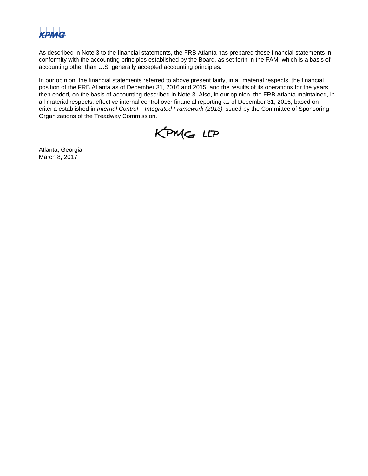

As described in Note 3 to the financial statements, the FRB Atlanta has prepared these financial statements in conformity with the accounting principles established by the Board, as set forth in the FAM, which is a basis of accounting other than U.S. generally accepted accounting principles.

In our opinion, the financial statements referred to above present fairly, in all material respects, the financial position of the FRB Atlanta as of December 31, 2016 and 2015, and the results of its operations for the years then ended, on the basis of accounting described in Note 3. Also, in our opinion, the FRB Atlanta maintained, in all material respects, effective internal control over financial reporting as of December 31, 2016, based on criteria established in *Internal Control – Integrated Framework (2013)* issued by the Committee of Sponsoring Organizations of the Treadway Commission.



Atlanta, Georgia March 8, 2017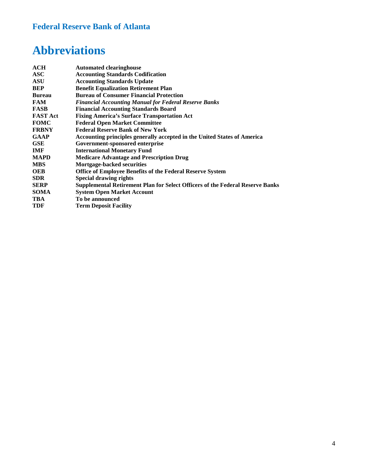### **Federal Reserve Bank of Atlanta**

# **Abbreviations**

| <b>ACH</b>      | <b>Automated clearinghouse</b>                                                |
|-----------------|-------------------------------------------------------------------------------|
| <b>ASC</b>      | <b>Accounting Standards Codification</b>                                      |
| <b>ASU</b>      | <b>Accounting Standards Update</b>                                            |
| <b>BEP</b>      | <b>Benefit Equalization Retirement Plan</b>                                   |
| <b>Bureau</b>   | <b>Bureau of Consumer Financial Protection</b>                                |
| <b>FAM</b>      | <b>Financial Accounting Manual for Federal Reserve Banks</b>                  |
| <b>FASB</b>     | <b>Financial Accounting Standards Board</b>                                   |
| <b>FAST Act</b> | <b>Fixing America's Surface Transportation Act</b>                            |
| <b>FOMC</b>     | <b>Federal Open Market Committee</b>                                          |
| <b>FRBNY</b>    | <b>Federal Reserve Bank of New York</b>                                       |
| <b>GAAP</b>     | Accounting principles generally accepted in the United States of America      |
| <b>GSE</b>      | Government-sponsored enterprise                                               |
| <b>IMF</b>      | <b>International Monetary Fund</b>                                            |
| <b>MAPD</b>     | <b>Medicare Advantage and Prescription Drug</b>                               |
| <b>MBS</b>      | <b>Mortgage-backed securities</b>                                             |
| <b>OEB</b>      | <b>Office of Employee Benefits of the Federal Reserve System</b>              |
| <b>SDR</b>      | <b>Special drawing rights</b>                                                 |
| <b>SERP</b>     | Supplemental Retirement Plan for Select Officers of the Federal Reserve Banks |
| <b>SOMA</b>     | <b>System Open Market Account</b>                                             |
| TBA             | To be announced                                                               |
| <b>TDF</b>      | <b>Term Deposit Facility</b>                                                  |
|                 |                                                                               |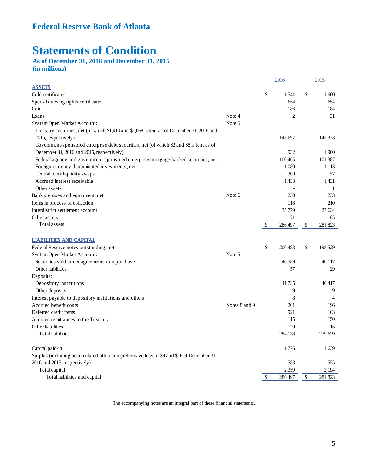# **Statements of Condition**

#### **As of December 31, 2016 and December 31, 2015 (in millions)**

|                                                                                            |               | 2016           | 2015           |
|--------------------------------------------------------------------------------------------|---------------|----------------|----------------|
| <b>ASSETS</b>                                                                              |               |                |                |
| Gold certificates                                                                          |               | \$<br>1,541    | \$<br>1,600    |
| Special drawing rights certificates                                                        |               | 654            | 654            |
| Coin                                                                                       |               | 186            | 184            |
| Loans                                                                                      | Note 4        | $\overline{2}$ | 31             |
| System Open Market Account:                                                                | Note 5        |                |                |
| Treasury securities, net (of which \$1,410 and \$1,068 is lent as of December 31, 2016 and |               |                |                |
| 2015, respectively)                                                                        |               | 143,697        | 145,323        |
| Government-sponsored enterprise debt securities, net (of which \$2 and \$8 is lent as of   |               |                |                |
| December 31, 2016 and 2015, respectively)                                                  |               | 932            | 1,900          |
| Federal agency and government-sponsored enterprise mortgage-backed securities, net         |               | 100,465        | 101,387        |
| Foreign currency denominated investments, net                                              |               | 1,080          | 1,113          |
| Central bank liquidity swaps                                                               |               | 309            | 57             |
| Accrued interest receivable                                                                |               | 1,433          | 1,431          |
| Other assets                                                                               |               |                | -1             |
| Bank premises and equipment, net                                                           | Note 6        | 230            | 233            |
| Items in process of collection                                                             |               | 118            | 210            |
| Interdistrict settlement account                                                           |               | 35,779         | 27,634         |
| Other assets                                                                               |               | 71             | 65             |
| Total assets                                                                               |               | \$<br>286,497  | \$<br>281,823  |
| <b>LIABILITIES AND CAPITAL</b>                                                             |               |                |                |
| Federal Reserve notes outstanding, net                                                     |               | \$<br>200,483  | \$<br>198,529  |
| System Open Market Account:                                                                | Note 5        |                |                |
| Securities sold under agreements to repurchase                                             |               | 40,589         | 40.117         |
| Other liabilities                                                                          |               | 57             | 29             |
| Deposits:                                                                                  |               |                |                |
| Depository institutions                                                                    |               | 41,735         | 40,417         |
| Other deposits                                                                             |               | 9              | 9              |
| Interest payable to depository institutions and others                                     |               | 8              | $\overline{4}$ |
| Accrued benefit costs                                                                      | Notes 8 and 9 | 201            | 196            |
| Deferred credit items                                                                      |               | 921            | 163            |
| Accrued remittances to the Treasury                                                        |               | 115            | 150            |
| Other liabilities                                                                          |               | 20             | 15             |
| <b>Total liabilities</b>                                                                   |               | 284,138        | 279,629        |
| Capital paid-in                                                                            |               | 1,776          | 1,639          |
| Surplus (including accumulated other comprehensive loss of \$9 and \$16 at December 31,    |               |                |                |
| 2016 and 2015, respectively)                                                               |               | 583            | 555            |
| Total capital                                                                              |               | 2,359          | 2,194          |
| Total liabilities and capital                                                              |               | \$<br>286,497  | \$<br>281,823  |

The accompanying notes are an integral part of these financial statements.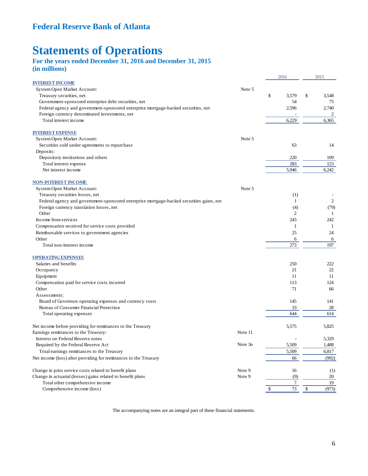## **Statements of Operations**

#### **For the years ended December 31, 2016 and December 31, 2015 (in millions)**

|                                                                                          |         | 2016         |              | 2015         |
|------------------------------------------------------------------------------------------|---------|--------------|--------------|--------------|
| <b>INTEREST INCOME</b>                                                                   |         |              |              |              |
| System Open Market Account:                                                              | Note 5  |              |              |              |
| Treasury securities, net                                                                 |         | \$<br>3,579  | \$           | 3,548        |
| Government-sponsored enterprise debt securities, net                                     |         | 54           |              | 75           |
| Federal agency and government-sponsored enterprise mortgage-backed securities, net       |         | 2,596        |              | 2,740        |
| Foreign currency denominated investments, net                                            |         |              |              | 2            |
| Total interest income                                                                    |         | 6,229        |              | 6,365        |
| <b>INTEREST EXPENSE</b>                                                                  |         |              |              |              |
| System Open Market Account:                                                              | Note 5  |              |              |              |
| Securities sold under agreements to repurchase                                           |         | 63           |              | 14           |
| Deposits:                                                                                |         |              |              |              |
| Depository institutions and others                                                       |         | 220          |              | 109          |
| Total interest expense                                                                   |         | 283          |              | 123          |
| Net interest income                                                                      |         | 5,946        |              | 6,242        |
| <b>NON-INTEREST INCOME</b>                                                               |         |              |              |              |
| System Open Market Account:                                                              | Note 5  |              |              |              |
| Treasury securities losses, net                                                          |         | (1)          |              |              |
| Federal agency and government-sponsored enterprise mortgage-backed securities gains, net |         | 1            |              | 2            |
| Foreign currency translation losses, net                                                 |         | (4)          |              | (79)         |
| Other                                                                                    |         | 2            |              | 1            |
| Income from services                                                                     |         | 243          |              | 242          |
| Compensation received for service costs provided                                         |         | 1            |              | $\mathbf{1}$ |
| Reimbursable services to government agencies                                             |         | 25           |              | 24           |
| Other                                                                                    |         | 6            |              | 6            |
| Total non-interest income                                                                |         | 273          |              | 197          |
| <b>OPERATING EXPENSES</b>                                                                |         |              |              |              |
| Salaries and benefits                                                                    |         | 250          |              | 222          |
| Occupancy                                                                                |         | 21           |              | 22           |
| Equipment                                                                                |         | 11           |              | 11           |
| Compensation paid for service costs incurred                                             |         | 113          |              | 124          |
| Other                                                                                    |         | 71           |              | 66           |
| Assessments:                                                                             |         |              |              |              |
| Board of Governors operating expenses and currency costs                                 |         | 145          |              | 141          |
| Bureau of Consumer Financial Protection                                                  |         | 33           |              | 28           |
| Total operating expenses                                                                 |         | 644          |              | 614          |
| Net income before providing for remittances to the Treasury                              |         | 5,575        |              | 5,825        |
| Earnings remittances to the Treasury:                                                    | Note 11 |              |              |              |
| Interest on Federal Reserve notes                                                        |         |              |              | 5,329        |
| Required by the Federal Reserve Act                                                      | Note 30 | 5,509        |              | 1,488        |
| Total earnings remittances to the Treasury                                               |         | 5,509        |              | 6,817        |
| Net income (loss) after providing for remittances to the Treasury                        |         | 66           |              | (992)        |
| Change in prior service costs related to benefit plans                                   | Note 9  | 16           |              | (1)          |
| Change in actuarial (losses) gains related to benefit plans                              | Note 9  | (9)          |              | 20           |
| Total other comprehensive income                                                         |         | $\tau$       |              | 19           |
| Comprehensive income (loss)                                                              |         | \$<br>$73\,$ | $\mathbb{S}$ | (973)        |
|                                                                                          |         |              |              |              |

The accompanying notes are an integral part of these financial statements.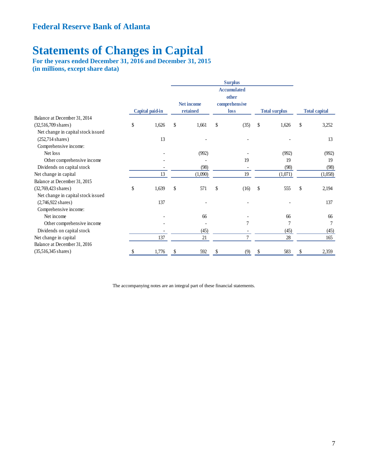# **Statements of Changes in Capital**

**For the years ended December 31, 2016 and December 31, 2015 (in millions, except share data)**

|                                    |                 |                               | <b>Surplus</b>                               |    |                      |    |                      |
|------------------------------------|-----------------|-------------------------------|----------------------------------------------|----|----------------------|----|----------------------|
|                                    |                 | <b>Net income</b><br>retained | <b>Accumulated</b><br>other<br>comprehensive |    |                      |    |                      |
| Balance at December 31, 2014       | Capital paid-in |                               | <b>loss</b>                                  |    | <b>Total surplus</b> |    | <b>Total capital</b> |
| $(32,516,709 \text{ shares})$      | \$<br>1,626     | \$<br>1,661                   | \$<br>(35)                                   | \$ | 1,626                | \$ | 3,252                |
| Net change in capital stock issued |                 |                               |                                              |    |                      |    |                      |
| $(252,714 \text{ shares})$         | 13              |                               |                                              |    |                      |    | 13                   |
| Comprehensive income:              |                 |                               |                                              |    |                      |    |                      |
| Net loss                           |                 | (992)                         |                                              |    | (992)                |    | (992)                |
| Other comprehensive income         |                 |                               | 19                                           |    | 19                   |    | 19                   |
| Dividends on capital stock         |                 | (98)                          |                                              |    | (98)                 |    | (98)                 |
| Net change in capital              | 13              | (1,090)                       | 19                                           |    | (1,071)              |    | (1,058)              |
| Balance at December 31, 2015       |                 |                               |                                              |    |                      |    |                      |
| $(32,769,423 \text{ shares})$      | \$<br>1,639     | \$<br>571                     | \$<br>(16)                                   | \$ | 555                  | \$ | 2,194                |
| Net change in capital stock issued |                 |                               |                                              |    |                      |    |                      |
| $(2,746,922 \text{ shares})$       | 137             |                               |                                              |    |                      |    | 137                  |
| Comprehensive income:              |                 |                               |                                              |    |                      |    |                      |
| Net income                         |                 | 66                            |                                              |    | 66                   |    | 66                   |
| Other comprehensive income         |                 |                               |                                              |    |                      |    | 7                    |
| Dividends on capital stock         |                 | (45)                          |                                              |    | (45)                 |    | (45)                 |
| Net change in capital              | 137             | 21                            | 7                                            |    | 28                   |    | 165                  |
| Balance at December 31, 2016       |                 |                               |                                              |    |                      |    |                      |
| $(35,516,345 \text{ shares})$      | \$<br>1,776     | \$<br>592                     | \$<br>(9)                                    | -S | 583                  | S  | 2,359                |

The accompanying notes are an integral part of these financial statements.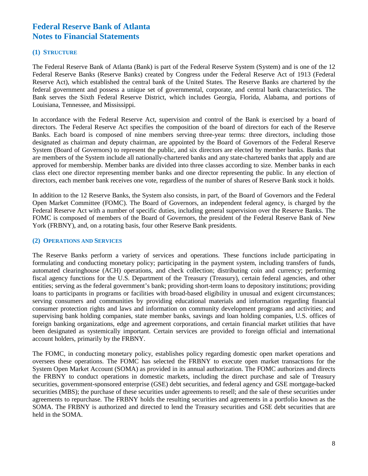#### **(1) STRUCTURE**

The Federal Reserve Bank of Atlanta (Bank) is part of the Federal Reserve System (System) and is one of the 12 Federal Reserve Banks (Reserve Banks) created by Congress under the Federal Reserve Act of 1913 (Federal Reserve Act), which established the central bank of the United States. The Reserve Banks are chartered by the federal government and possess a unique set of governmental, corporate, and central bank characteristics. The Bank serves the Sixth Federal Reserve District, which includes Georgia, Florida, Alabama, and portions of Louisiana, Tennessee, and Mississippi.

In accordance with the Federal Reserve Act, supervision and control of the Bank is exercised by a board of directors. The Federal Reserve Act specifies the composition of the board of directors for each of the Reserve Banks. Each board is composed of nine members serving three-year terms: three directors, including those designated as chairman and deputy chairman, are appointed by the Board of Governors of the Federal Reserve System (Board of Governors) to represent the public, and six directors are elected by member banks. Banks that are members of the System include all nationally-chartered banks and any state-chartered banks that apply and are approved for membership. Member banks are divided into three classes according to size. Member banks in each class elect one director representing member banks and one director representing the public. In any election of directors, each member bank receives one vote, regardless of the number of shares of Reserve Bank stock it holds.

In addition to the 12 Reserve Banks, the System also consists, in part, of the Board of Governors and the Federal Open Market Committee (FOMC). The Board of Governors, an independent federal agency, is charged by the Federal Reserve Act with a number of specific duties, including general supervision over the Reserve Banks. The FOMC is composed of members of the Board of Governors, the president of the Federal Reserve Bank of New York (FRBNY), and, on a rotating basis, four other Reserve Bank presidents.

#### **(2) OPERATIONS AND SERVICES**

The Reserve Banks perform a variety of services and operations. These functions include participating in formulating and conducting monetary policy; participating in the payment system, including transfers of funds, automated clearinghouse (ACH) operations, and check collection; distributing coin and currency; performing fiscal agency functions for the U.S. Department of the Treasury (Treasury), certain federal agencies, and other entities; serving as the federal government's bank; providing short-term loans to depository institutions; providing loans to participants in programs or facilities with broad-based eligibility in unusual and exigent circumstances; serving consumers and communities by providing educational materials and information regarding financial consumer protection rights and laws and information on community development programs and activities; and supervising bank holding companies, state member banks, savings and loan holding companies, U.S. offices of foreign banking organizations, edge and agreement corporations, and certain financial market utilities that have been designated as systemically important. Certain services are provided to foreign official and international account holders, primarily by the FRBNY.

The FOMC, in conducting monetary policy, establishes policy regarding domestic open market operations and oversees these operations. The FOMC has selected the FRBNY to execute open market transactions for the System Open Market Account (SOMA) as provided in its annual authorization. The FOMC authorizes and directs the FRBNY to conduct operations in domestic markets, including the direct purchase and sale of Treasury securities, government-sponsored enterprise (GSE) debt securities, and federal agency and GSE mortgage-backed securities (MBS); the purchase of these securities under agreements to resell; and the sale of these securities under agreements to repurchase. The FRBNY holds the resulting securities and agreements in a portfolio known as the SOMA. The FRBNY is authorized and directed to lend the Treasury securities and GSE debt securities that are held in the SOMA.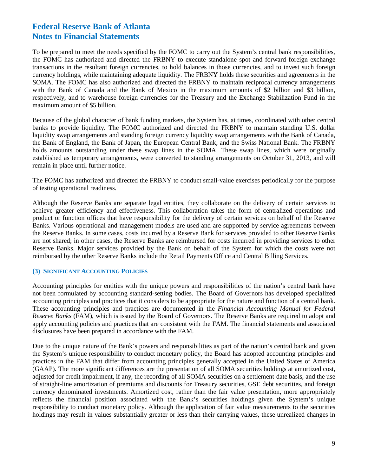To be prepared to meet the needs specified by the FOMC to carry out the System's central bank responsibilities, the FOMC has authorized and directed the FRBNY to execute standalone spot and forward foreign exchange transactions in the resultant foreign currencies, to hold balances in those currencies, and to invest such foreign currency holdings, while maintaining adequate liquidity. The FRBNY holds these securities and agreements in the SOMA. The FOMC has also authorized and directed the FRBNY to maintain reciprocal currency arrangements with the Bank of Canada and the Bank of Mexico in the maximum amounts of \$2 billion and \$3 billion, respectively, and to warehouse foreign currencies for the Treasury and the Exchange Stabilization Fund in the maximum amount of \$5 billion.

Because of the global character of bank funding markets, the System has, at times, coordinated with other central banks to provide liquidity. The FOMC authorized and directed the FRBNY to maintain standing U.S. dollar liquidity swap arrangements and standing foreign currency liquidity swap arrangements with the Bank of Canada, the Bank of England, the Bank of Japan, the European Central Bank, and the Swiss National Bank. The FRBNY holds amounts outstanding under these swap lines in the SOMA. These swap lines, which were originally established as temporary arrangements, were converted to standing arrangements on October 31, 2013, and will remain in place until further notice.

The FOMC has authorized and directed the FRBNY to conduct small-value exercises periodically for the purpose of testing operational readiness.

Although the Reserve Banks are separate legal entities, they collaborate on the delivery of certain services to achieve greater efficiency and effectiveness. This collaboration takes the form of centralized operations and product or function offices that have responsibility for the delivery of certain services on behalf of the Reserve Banks. Various operational and management models are used and are supported by service agreements between the Reserve Banks. In some cases, costs incurred by a Reserve Bank for services provided to other Reserve Banks are not shared; in other cases, the Reserve Banks are reimbursed for costs incurred in providing services to other Reserve Banks. Major services provided by the Bank on behalf of the System for which the costs were not reimbursed by the other Reserve Banks include the Retail Payments Office and Central Billing Services.

#### **(3) SIGNIFICANT ACCOUNTING POLICIES**

Accounting principles for entities with the unique powers and responsibilities of the nation's central bank have not been formulated by accounting standard-setting bodies. The Board of Governors has developed specialized accounting principles and practices that it considers to be appropriate for the nature and function of a central bank. These accounting principles and practices are documented in the *Financial Accounting Manual for Federal Reserve Banks* (FAM), which is issued by the Board of Governors. The Reserve Banks are required to adopt and apply accounting policies and practices that are consistent with the FAM. The financial statements and associated disclosures have been prepared in accordance with the FAM.

Due to the unique nature of the Bank's powers and responsibilities as part of the nation's central bank and given the System's unique responsibility to conduct monetary policy, the Board has adopted accounting principles and practices in the FAM that differ from accounting principles generally accepted in the United States of America (GAAP). The more significant differences are the presentation of all SOMA securities holdings at amortized cost, adjusted for credit impairment, if any, the recording of all SOMA securities on a settlement-date basis, and the use of straight-line amortization of premiums and discounts for Treasury securities, GSE debt securities, and foreign currency denominated investments. Amortized cost, rather than the fair value presentation, more appropriately reflects the financial position associated with the Bank's securities holdings given the System's unique responsibility to conduct monetary policy. Although the application of fair value measurements to the securities holdings may result in values substantially greater or less than their carrying values, these unrealized changes in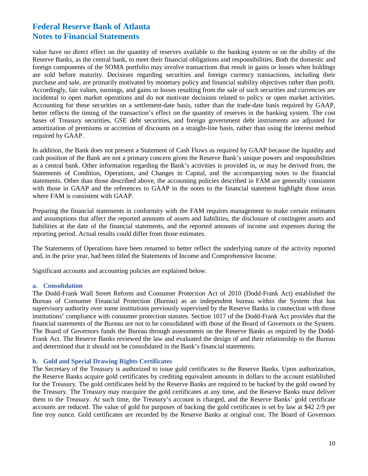value have no direct effect on the quantity of reserves available to the banking system or on the ability of the Reserve Banks, as the central bank, to meet their financial obligations and responsibilities. Both the domestic and foreign components of the SOMA portfolio may involve transactions that result in gains or losses when holdings are sold before maturity. Decisions regarding securities and foreign currency transactions, including their purchase and sale, are primarily motivated by monetary policy and financial stability objectives rather than profit. Accordingly, fair values, earnings, and gains or losses resulting from the sale of such securities and currencies are incidental to open market operations and do not motivate decisions related to policy or open market activities. Accounting for these securities on a settlement-date basis, rather than the trade-date basis required by GAAP, better reflects the timing of the transaction's effect on the quantity of reserves in the banking system. The cost bases of Treasury securities, GSE debt securities, and foreign government debt instruments are adjusted for amortization of premiums or accretion of discounts on a straight-line basis, rather than using the interest method required by GAAP.

In addition, the Bank does not present a Statement of Cash Flows as required by GAAP because the liquidity and cash position of the Bank are not a primary concern given the Reserve Bank's unique powers and responsibilities as a central bank. Other information regarding the Bank's activities is provided in, or may be derived from, the Statements of Condition, Operations, and Changes in Capital, and the accompanying notes to the financial statements. Other than those described above, the accounting policies described in FAM are generally consistent with those in GAAP and the references to GAAP in the notes to the financial statement highlight those areas where FAM is consistent with GAAP.

Preparing the financial statements in conformity with the FAM requires management to make certain estimates and assumptions that affect the reported amounts of assets and liabilities, the disclosure of contingent assets and liabilities at the date of the financial statements, and the reported amounts of income and expenses during the reporting period. Actual results could differ from those estimates.

The Statements of Operations have been renamed to better reflect the underlying nature of the activity reported and, in the prior year, had been titled the Statements of Income and Comprehensive Income.

Significant accounts and accounting policies are explained below.

#### **a. Consolidation**

The Dodd-Frank Wall Street Reform and Consumer Protection Act of 2010 (Dodd-Frank Act) established the Bureau of Consumer Financial Protection (Bureau) as an independent bureau within the System that has supervisory authority over some institutions previously supervised by the Reserve Banks in connection with those institutions' compliance with consumer protection statutes. Section 1017 of the Dodd-Frank Act provides that the financial statements of the Bureau are not to be consolidated with those of the Board of Governors or the System. The Board of Governors funds the Bureau through assessments on the Reserve Banks as required by the Dodd-Frank Act. The Reserve Banks reviewed the law and evaluated the design of and their relationship to the Bureau and determined that it should not be consolidated in the Bank's financial statements.

#### **b. Gold and Special Drawing Rights Certificates**

The Secretary of the Treasury is authorized to issue gold certificates to the Reserve Banks. Upon authorization, the Reserve Banks acquire gold certificates by crediting equivalent amounts in dollars to the account established for the Treasury. The gold certificates held by the Reserve Banks are required to be backed by the gold owned by the Treasury. The Treasury may reacquire the gold certificates at any time, and the Reserve Banks must deliver them to the Treasury. At such time, the Treasury's account is charged, and the Reserve Banks' gold certificate accounts are reduced. The value of gold for purposes of backing the gold certificates is set by law at \$42 2/9 per fine troy ounce. Gold certificates are recorded by the Reserve Banks at original cost. The Board of Governors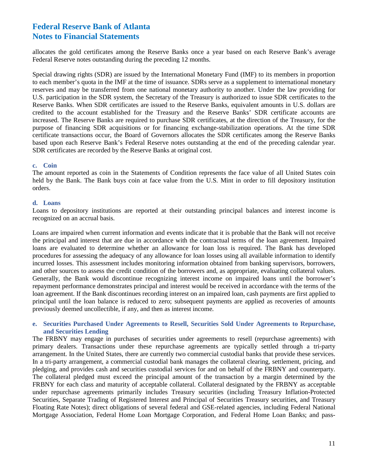allocates the gold certificates among the Reserve Banks once a year based on each Reserve Bank's average Federal Reserve notes outstanding during the preceding 12 months.

Special drawing rights (SDR) are issued by the International Monetary Fund (IMF) to its members in proportion to each member's quota in the IMF at the time of issuance. SDRs serve as a supplement to international monetary reserves and may be transferred from one national monetary authority to another. Under the law providing for U.S. participation in the SDR system, the Secretary of the Treasury is authorized to issue SDR certificates to the Reserve Banks. When SDR certificates are issued to the Reserve Banks, equivalent amounts in U.S. dollars are credited to the account established for the Treasury and the Reserve Banks' SDR certificate accounts are increased. The Reserve Banks are required to purchase SDR certificates, at the direction of the Treasury, for the purpose of financing SDR acquisitions or for financing exchange-stabilization operations. At the time SDR certificate transactions occur, the Board of Governors allocates the SDR certificates among the Reserve Banks based upon each Reserve Bank's Federal Reserve notes outstanding at the end of the preceding calendar year. SDR certificates are recorded by the Reserve Banks at original cost.

#### **c. Coin**

The amount reported as coin in the Statements of Condition represents the face value of all United States coin held by the Bank. The Bank buys coin at face value from the U.S. Mint in order to fill depository institution orders.

#### **d. Loans**

Loans to depository institutions are reported at their outstanding principal balances and interest income is recognized on an accrual basis.

Loans are impaired when current information and events indicate that it is probable that the Bank will not receive the principal and interest that are due in accordance with the contractual terms of the loan agreement. Impaired loans are evaluated to determine whether an allowance for loan loss is required. The Bank has developed procedures for assessing the adequacy of any allowance for loan losses using all available information to identify incurred losses. This assessment includes monitoring information obtained from banking supervisors, borrowers, and other sources to assess the credit condition of the borrowers and, as appropriate, evaluating collateral values. Generally, the Bank would discontinue recognizing interest income on impaired loans until the borrower's repayment performance demonstrates principal and interest would be received in accordance with the terms of the loan agreement. If the Bank discontinues recording interest on an impaired loan, cash payments are first applied to principal until the loan balance is reduced to zero; subsequent payments are applied as recoveries of amounts previously deemed uncollectible, if any, and then as interest income.

#### **e. Securities Purchased Under Agreements to Resell, Securities Sold Under Agreements to Repurchase, and Securities Lending**

The FRBNY may engage in purchases of securities under agreements to resell (repurchase agreements) with primary dealers. Transactions under these repurchase agreements are typically settled through a tri-party arrangement. In the United States, there are currently two commercial custodial banks that provide these services. In a tri-party arrangement, a commercial custodial bank manages the collateral clearing, settlement, pricing, and pledging, and provides cash and securities custodial services for and on behalf of the FRBNY and counterparty. The collateral pledged must exceed the principal amount of the transaction by a margin determined by the FRBNY for each class and maturity of acceptable collateral. Collateral designated by the FRBNY as acceptable under repurchase agreements primarily includes Treasury securities (including Treasury Inflation-Protected Securities, Separate Trading of Registered Interest and Principal of Securities Treasury securities, and Treasury Floating Rate Notes); direct obligations of several federal and GSE-related agencies, including Federal National Mortgage Association, Federal Home Loan Mortgage Corporation, and Federal Home Loan Banks; and pass-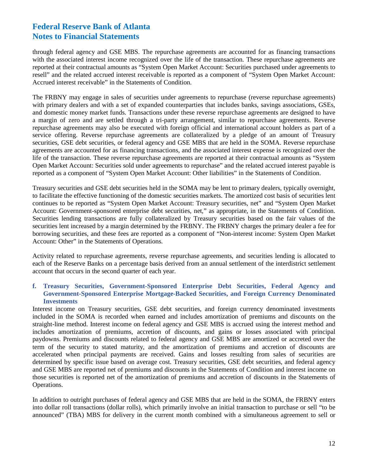through federal agency and GSE MBS. The repurchase agreements are accounted for as financing transactions with the associated interest income recognized over the life of the transaction. These repurchase agreements are reported at their contractual amounts as "System Open Market Account: Securities purchased under agreements to resell" and the related accrued interest receivable is reported as a component of "System Open Market Account: Accrued interest receivable" in the Statements of Condition.

The FRBNY may engage in sales of securities under agreements to repurchase (reverse repurchase agreements) with primary dealers and with a set of expanded counterparties that includes banks, savings associations, GSEs, and domestic money market funds. Transactions under these reverse repurchase agreements are designed to have a margin of zero and are settled through a tri-party arrangement, similar to repurchase agreements. Reverse repurchase agreements may also be executed with foreign official and international account holders as part of a service offering. Reverse repurchase agreements are collateralized by a pledge of an amount of Treasury securities, GSE debt securities, or federal agency and GSE MBS that are held in the SOMA. Reverse repurchase agreements are accounted for as financing transactions, and the associated interest expense is recognized over the life of the transaction. These reverse repurchase agreements are reported at their contractual amounts as "System Open Market Account: Securities sold under agreements to repurchase" and the related accrued interest payable is reported as a component of "System Open Market Account: Other liabilities" in the Statements of Condition.

Treasury securities and GSE debt securities held in the SOMA may be lent to primary dealers, typically overnight, to facilitate the effective functioning of the domestic securities markets. The amortized cost basis of securities lent continues to be reported as "System Open Market Account: Treasury securities, net" and "System Open Market Account: Government-sponsored enterprise debt securities, net," as appropriate, in the Statements of Condition. Securities lending transactions are fully collateralized by Treasury securities based on the fair values of the securities lent increased by a margin determined by the FRBNY. The FRBNY charges the primary dealer a fee for borrowing securities, and these fees are reported as a component of "Non-interest income: System Open Market Account: Other" in the Statements of Operations.

Activity related to repurchase agreements, reverse repurchase agreements, and securities lending is allocated to each of the Reserve Banks on a percentage basis derived from an annual settlement of the interdistrict settlement account that occurs in the second quarter of each year.

#### **f. Treasury Securities, Government-Sponsored Enterprise Debt Securities, Federal Agency and Government-Sponsored Enterprise Mortgage-Backed Securities, and Foreign Currency Denominated Investments**

Interest income on Treasury securities, GSE debt securities, and foreign currency denominated investments included in the SOMA is recorded when earned and includes amortization of premiums and discounts on the straight-line method. Interest income on federal agency and GSE MBS is accrued using the interest method and includes amortization of premiums, accretion of discounts, and gains or losses associated with principal paydowns. Premiums and discounts related to federal agency and GSE MBS are amortized or accreted over the term of the security to stated maturity, and the amortization of premiums and accretion of discounts are accelerated when principal payments are received. Gains and losses resulting from sales of securities are determined by specific issue based on average cost. Treasury securities, GSE debt securities, and federal agency and GSE MBS are reported net of premiums and discounts in the Statements of Condition and interest income on those securities is reported net of the amortization of premiums and accretion of discounts in the Statements of Operations.

In addition to outright purchases of federal agency and GSE MBS that are held in the SOMA, the FRBNY enters into dollar roll transactions (dollar rolls), which primarily involve an initial transaction to purchase or sell "to be announced" (TBA) MBS for delivery in the current month combined with a simultaneous agreement to sell or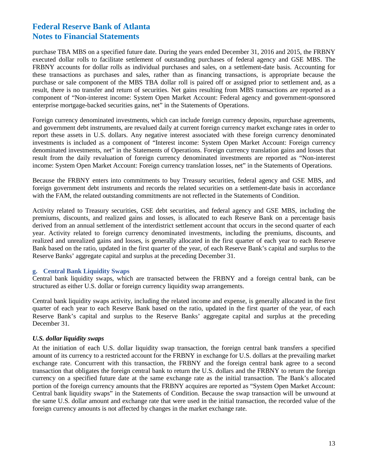purchase TBA MBS on a specified future date. During the years ended December 31, 2016 and 2015, the FRBNY executed dollar rolls to facilitate settlement of outstanding purchases of federal agency and GSE MBS. The FRBNY accounts for dollar rolls as individual purchases and sales, on a settlement-date basis. Accounting for these transactions as purchases and sales, rather than as financing transactions, is appropriate because the purchase or sale component of the MBS TBA dollar roll is paired off or assigned prior to settlement and, as a result, there is no transfer and return of securities. Net gains resulting from MBS transactions are reported as a component of "Non-interest income: System Open Market Account: Federal agency and government-sponsored enterprise mortgage-backed securities gains, net" in the Statements of Operations.

Foreign currency denominated investments, which can include foreign currency deposits, repurchase agreements, and government debt instruments, are revalued daily at current foreign currency market exchange rates in order to report these assets in U.S. dollars. Any negative interest associated with these foreign currency denominated investments is included as a component of "Interest income: System Open Market Account: Foreign currency denominated investments, net" in the Statements of Operations. Foreign currency translation gains and losses that result from the daily revaluation of foreign currency denominated investments are reported as "Non-interest income: System Open Market Account: Foreign currency translation losses, net" in the Statements of Operations.

Because the FRBNY enters into commitments to buy Treasury securities, federal agency and GSE MBS, and foreign government debt instruments and records the related securities on a settlement-date basis in accordance with the FAM, the related outstanding commitments are not reflected in the Statements of Condition.

Activity related to Treasury securities, GSE debt securities, and federal agency and GSE MBS, including the premiums, discounts, and realized gains and losses, is allocated to each Reserve Bank on a percentage basis derived from an annual settlement of the interdistrict settlement account that occurs in the second quarter of each year. Activity related to foreign currency denominated investments, including the premiums, discounts, and realized and unrealized gains and losses, is generally allocated in the first quarter of each year to each Reserve Bank based on the ratio, updated in the first quarter of the year, of each Reserve Bank's capital and surplus to the Reserve Banks' aggregate capital and surplus at the preceding December 31.

#### **g. Central Bank Liquidity Swaps**

Central bank liquidity swaps, which are transacted between the FRBNY and a foreign central bank, can be structured as either U.S. dollar or foreign currency liquidity swap arrangements.

Central bank liquidity swaps activity, including the related income and expense, is generally allocated in the first quarter of each year to each Reserve Bank based on the ratio, updated in the first quarter of the year, of each Reserve Bank's capital and surplus to the Reserve Banks' aggregate capital and surplus at the preceding December 31.

#### *U.S. dollar liquidity swaps*

At the initiation of each U.S. dollar liquidity swap transaction, the foreign central bank transfers a specified amount of its currency to a restricted account for the FRBNY in exchange for U.S. dollars at the prevailing market exchange rate. Concurrent with this transaction, the FRBNY and the foreign central bank agree to a second transaction that obligates the foreign central bank to return the U.S. dollars and the FRBNY to return the foreign currency on a specified future date at the same exchange rate as the initial transaction. The Bank's allocated portion of the foreign currency amounts that the FRBNY acquires are reported as "System Open Market Account: Central bank liquidity swaps" in the Statements of Condition. Because the swap transaction will be unwound at the same U.S. dollar amount and exchange rate that were used in the initial transaction, the recorded value of the foreign currency amounts is not affected by changes in the market exchange rate.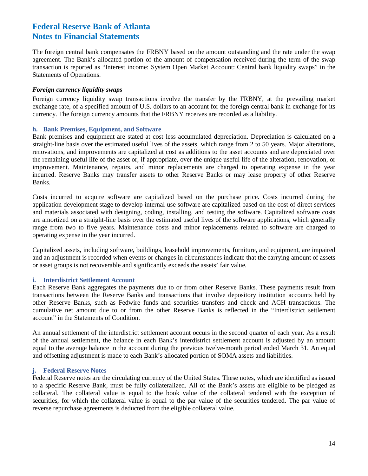The foreign central bank compensates the FRBNY based on the amount outstanding and the rate under the swap agreement. The Bank's allocated portion of the amount of compensation received during the term of the swap transaction is reported as "Interest income: System Open Market Account: Central bank liquidity swaps" in the Statements of Operations.

#### *Foreign currency liquidity swaps*

Foreign currency liquidity swap transactions involve the transfer by the FRBNY, at the prevailing market exchange rate, of a specified amount of U.S. dollars to an account for the foreign central bank in exchange for its currency. The foreign currency amounts that the FRBNY receives are recorded as a liability.

#### **h. Bank Premises, Equipment, and Software**

Bank premises and equipment are stated at cost less accumulated depreciation. Depreciation is calculated on a straight-line basis over the estimated useful lives of the assets, which range from 2 to 50 years. Major alterations, renovations, and improvements are capitalized at cost as additions to the asset accounts and are depreciated over the remaining useful life of the asset or, if appropriate, over the unique useful life of the alteration, renovation, or improvement. Maintenance, repairs, and minor replacements are charged to operating expense in the year incurred. Reserve Banks may transfer assets to other Reserve Banks or may lease property of other Reserve Banks.

Costs incurred to acquire software are capitalized based on the purchase price. Costs incurred during the application development stage to develop internal-use software are capitalized based on the cost of direct services and materials associated with designing, coding, installing, and testing the software. Capitalized software costs are amortized on a straight-line basis over the estimated useful lives of the software applications, which generally range from two to five years. Maintenance costs and minor replacements related to software are charged to operating expense in the year incurred.

Capitalized assets, including software, buildings, leasehold improvements, furniture, and equipment, are impaired and an adjustment is recorded when events or changes in circumstances indicate that the carrying amount of assets or asset groups is not recoverable and significantly exceeds the assets' fair value.

#### **i. Interdistrict Settlement Account**

Each Reserve Bank aggregates the payments due to or from other Reserve Banks. These payments result from transactions between the Reserve Banks and transactions that involve depository institution accounts held by other Reserve Banks, such as Fedwire funds and securities transfers and check and ACH transactions. The cumulative net amount due to or from the other Reserve Banks is reflected in the "Interdistrict settlement account" in the Statements of Condition.

An annual settlement of the interdistrict settlement account occurs in the second quarter of each year. As a result of the annual settlement, the balance in each Bank's interdistrict settlement account is adjusted by an amount equal to the average balance in the account during the previous twelve-month period ended March 31. An equal and offsetting adjustment is made to each Bank's allocated portion of SOMA assets and liabilities.

#### **j. Federal Reserve Notes**

Federal Reserve notes are the circulating currency of the United States. These notes, which are identified as issued to a specific Reserve Bank, must be fully collateralized. All of the Bank's assets are eligible to be pledged as collateral. The collateral value is equal to the book value of the collateral tendered with the exception of securities, for which the collateral value is equal to the par value of the securities tendered. The par value of reverse repurchase agreements is deducted from the eligible collateral value.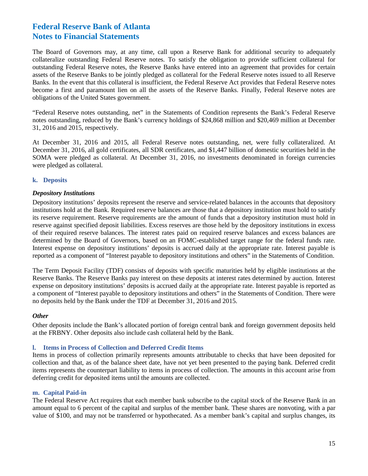The Board of Governors may, at any time, call upon a Reserve Bank for additional security to adequately collateralize outstanding Federal Reserve notes. To satisfy the obligation to provide sufficient collateral for outstanding Federal Reserve notes, the Reserve Banks have entered into an agreement that provides for certain assets of the Reserve Banks to be jointly pledged as collateral for the Federal Reserve notes issued to all Reserve Banks. In the event that this collateral is insufficient, the Federal Reserve Act provides that Federal Reserve notes become a first and paramount lien on all the assets of the Reserve Banks. Finally, Federal Reserve notes are obligations of the United States government.

"Federal Reserve notes outstanding, net" in the Statements of Condition represents the Bank's Federal Reserve notes outstanding, reduced by the Bank's currency holdings of \$24,868 million and \$20,469 million at December 31, 2016 and 2015, respectively.

At December 31, 2016 and 2015, all Federal Reserve notes outstanding, net, were fully collateralized. At December 31, 2016, all gold certificates, all SDR certificates, and \$1,447 billion of domestic securities held in the SOMA were pledged as collateral. At December 31, 2016, no investments denominated in foreign currencies were pledged as collateral.

#### **k. Deposits**

#### *Depository Institutions*

Depository institutions' deposits represent the reserve and service-related balances in the accounts that depository institutions hold at the Bank. Required reserve balances are those that a depository institution must hold to satisfy its reserve requirement. Reserve requirements are the amount of funds that a depository institution must hold in reserve against specified deposit liabilities. Excess reserves are those held by the depository institutions in excess of their required reserve balances. The interest rates paid on required reserve balances and excess balances are determined by the Board of Governors, based on an FOMC-established target range for the federal funds rate. Interest expense on depository institutions' deposits is accrued daily at the appropriate rate. Interest payable is reported as a component of "Interest payable to depository institutions and others" in the Statements of Condition.

The Term Deposit Facility (TDF) consists of deposits with specific maturities held by eligible institutions at the Reserve Banks. The Reserve Banks pay interest on these deposits at interest rates determined by auction. Interest expense on depository institutions' deposits is accrued daily at the appropriate rate. Interest payable is reported as a component of "Interest payable to depository institutions and others" in the Statements of Condition. There were no deposits held by the Bank under the TDF at December 31, 2016 and 2015.

#### *Other*

Other deposits include the Bank's allocated portion of foreign central bank and foreign government deposits held at the FRBNY. Other deposits also include cash collateral held by the Bank.

#### **l. Items in Process of Collection and Deferred Credit Items**

Items in process of collection primarily represents amounts attributable to checks that have been deposited for collection and that, as of the balance sheet date, have not yet been presented to the paying bank. Deferred credit items represents the counterpart liability to items in process of collection. The amounts in this account arise from deferring credit for deposited items until the amounts are collected.

#### **m. Capital Paid-in**

The Federal Reserve Act requires that each member bank subscribe to the capital stock of the Reserve Bank in an amount equal to 6 percent of the capital and surplus of the member bank. These shares are nonvoting, with a par value of \$100, and may not be transferred or hypothecated. As a member bank's capital and surplus changes, its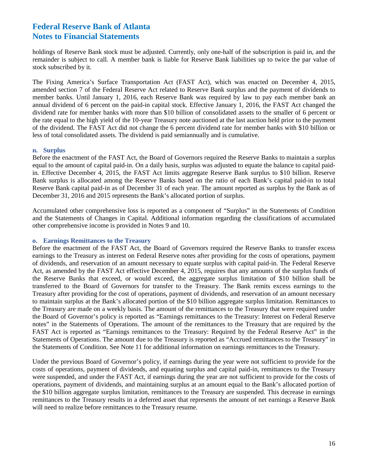holdings of Reserve Bank stock must be adjusted. Currently, only one-half of the subscription is paid in, and the remainder is subject to call. A member bank is liable for Reserve Bank liabilities up to twice the par value of stock subscribed by it.

The Fixing America's Surface Transportation Act (FAST Act), which was enacted on December 4, 2015, amended section 7 of the Federal Reserve Act related to Reserve Bank surplus and the payment of dividends to member banks. Until January 1, 2016, each Reserve Bank was required by law to pay each member bank an annual dividend of 6 percent on the paid-in capital stock. Effective January 1, 2016, the FAST Act changed the dividend rate for member banks with more than \$10 billion of consolidated assets to the smaller of 6 percent or the rate equal to the high yield of the 10-year Treasury note auctioned at the last auction held prior to the payment of the dividend. The FAST Act did not change the 6 percent dividend rate for member banks with \$10 billion or less of total consolidated assets. The dividend is paid semiannually and is cumulative.

#### **n. Surplus**

Before the enactment of the FAST Act, the Board of Governors required the Reserve Banks to maintain a surplus equal to the amount of capital paid-in. On a daily basis, surplus was adjusted to equate the balance to capital paidin. Effective December 4, 2015, the FAST Act limits aggregate Reserve Bank surplus to \$10 billion. Reserve Bank surplus is allocated among the Reserve Banks based on the ratio of each Bank's capital paid-in to total Reserve Bank capital paid-in as of December 31 of each year. The amount reported as surplus by the Bank as of December 31, 2016 and 2015 represents the Bank's allocated portion of surplus.

Accumulated other comprehensive loss is reported as a component of "Surplus" in the Statements of Condition and the Statements of Changes in Capital. Additional information regarding the classifications of accumulated other comprehensive income is provided in Notes 9 and 10.

#### **o. Earnings Remittances to the Treasury**

Before the enactment of the FAST Act, the Board of Governors required the Reserve Banks to transfer excess earnings to the Treasury as interest on Federal Reserve notes after providing for the costs of operations, payment of dividends, and reservation of an amount necessary to equate surplus with capital paid-in. The Federal Reserve Act, as amended by the FAST Act effective December 4, 2015, requires that any amounts of the surplus funds of the Reserve Banks that exceed, or would exceed, the aggregate surplus limitation of \$10 billion shall be transferred to the Board of Governors for transfer to the Treasury. The Bank remits excess earnings to the Treasury after providing for the cost of operations, payment of dividends, and reservation of an amount necessary to maintain surplus at the Bank's allocated portion of the \$10 billion aggregate surplus limitation. Remittances to the Treasury are made on a weekly basis. The amount of the remittances to the Treasury that were required under the Board of Governor's policy is reported as "Earnings remittances to the Treasury: Interest on Federal Reserve notes" in the Statements of Operations. The amount of the remittances to the Treasury that are required by the FAST Act is reported as "Earnings remittances to the Treasury: Required by the Federal Reserve Act" in the Statements of Operations. The amount due to the Treasury is reported as "Accrued remittances to the Treasury" in the Statements of Condition. See Note 11 for additional information on earnings remittances to the Treasury.

Under the previous Board of Governor's policy, if earnings during the year were not sufficient to provide for the costs of operations, payment of dividends, and equating surplus and capital paid-in, remittances to the Treasury were suspended, and under the FAST Act, if earnings during the year are not sufficient to provide for the costs of operations, payment of dividends, and maintaining surplus at an amount equal to the Bank's allocated portion of the \$10 billion aggregate surplus limitation, remittances to the Treasury are suspended. This decrease in earnings remittances to the Treasury results in a deferred asset that represents the amount of net earnings a Reserve Bank will need to realize before remittances to the Treasury resume.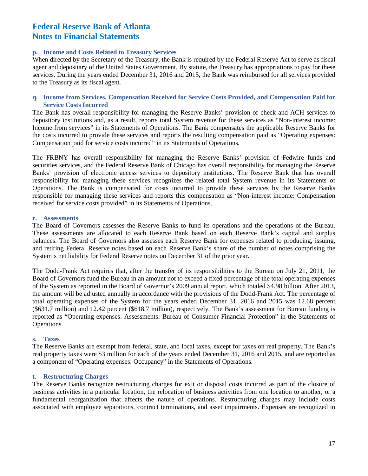#### **p. Income and Costs Related to Treasury Services**

When directed by the Secretary of the Treasury, the Bank is required by the Federal Reserve Act to serve as fiscal agent and depositary of the United States Government. By statute, the Treasury has appropriations to pay for these services. During the years ended December 31, 2016 and 2015, the Bank was reimbursed for all services provided to the Treasury as its fiscal agent.

#### **q. Income from Services, Compensation Received for Service Costs Provided, and Compensation Paid for Service Costs Incurred**

The Bank has overall responsibility for managing the Reserve Banks' provision of check and ACH services to depository institutions and, as a result, reports total System revenue for these services as "Non-interest income: Income from services" in its Statements of Operations. The Bank compensates the applicable Reserve Banks for the costs incurred to provide these services and reports the resulting compensation paid as "Operating expenses: Compensation paid for service costs incurred" in its Statements of Operations.

The FRBNY has overall responsibility for managing the Reserve Banks' provision of Fedwire funds and securities services, and the Federal Reserve Bank of Chicago has overall responsibility for managing the Reserve Banks' provision of electronic access services to depository institutions. The Reserve Bank that has overall responsibility for managing these services recognizes the related total System revenue in its Statements of Operations. The Bank is compensated for costs incurred to provide these services by the Reserve Banks responsible for managing these services and reports this compensation as "Non-interest income: Compensation received for service costs provided" in its Statements of Operations.

#### **r. Assessments**

The Board of Governors assesses the Reserve Banks to fund its operations and the operations of the Bureau. These assessments are allocated to each Reserve Bank based on each Reserve Bank's capital and surplus balances. The Board of Governors also assesses each Reserve Bank for expenses related to producing, issuing, and retiring Federal Reserve notes based on each Reserve Bank's share of the number of notes comprising the System's net liability for Federal Reserve notes on December 31 of the prior year.

The Dodd-Frank Act requires that, after the transfer of its responsibilities to the Bureau on July 21, 2011, the Board of Governors fund the Bureau in an amount not to exceed a fixed percentage of the total operating expenses of the System as reported in the Board of Governor's 2009 annual report, which totaled \$4.98 billion. After 2013, the amount will be adjusted annually in accordance with the provisions of the Dodd-Frank Act. The percentage of total operating expenses of the System for the years ended December 31, 2016 and 2015 was 12.68 percent (\$631.7 million) and 12.42 percent (\$618.7 million), respectively. The Bank's assessment for Bureau funding is reported as "Operating expenses: Assessments: Bureau of Consumer Financial Protection" in the Statements of Operations.

#### **s. Taxes**

The Reserve Banks are exempt from federal, state, and local taxes, except for taxes on real property. The Bank's real property taxes were \$3 million for each of the years ended December 31, 2016 and 2015, and are reported as a component of "Operating expenses: Occupancy" in the Statements of Operations.

#### **t. Restructuring Charges**

The Reserve Banks recognize restructuring charges for exit or disposal costs incurred as part of the closure of business activities in a particular location, the relocation of business activities from one location to another, or a fundamental reorganization that affects the nature of operations. Restructuring charges may include costs associated with employee separations, contract terminations, and asset impairments. Expenses are recognized in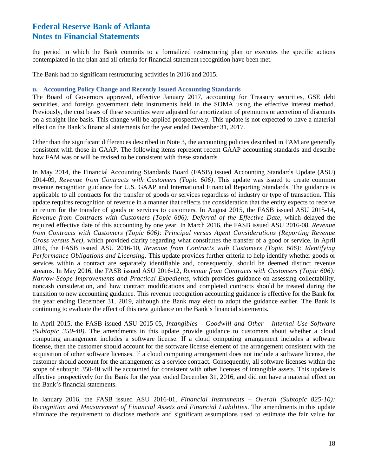the period in which the Bank commits to a formalized restructuring plan or executes the specific actions contemplated in the plan and all criteria for financial statement recognition have been met.

The Bank had no significant restructuring activities in 2016 and 2015.

#### **u. Accounting Policy Change and Recently Issued Accounting Standards**

The Board of Governors approved, effective January 2017, accounting for Treasury securities, GSE debt securities, and foreign government debt instruments held in the SOMA using the effective interest method. Previously, the cost bases of these securities were adjusted for amortization of premiums or accretion of discounts on a straight-line basis. This change will be applied prospectively. This update is not expected to have a material effect on the Bank's financial statements for the year ended December 31, 2017.

Other than the significant differences described in Note 3, the accounting policies described in FAM are generally consistent with those in GAAP. The following items represent recent GAAP accounting standards and describe how FAM was or will be revised to be consistent with these standards.

In May 2014, the Financial Accounting Standards Board (FASB) issued Accounting Standards Update (ASU) 2014-09, *Revenue from Contracts with Customers (Topic 606)*. This update was issued to create common revenue recognition guidance for U.S. GAAP and International Financial Reporting Standards. The guidance is applicable to all contracts for the transfer of goods or services regardless of industry or type of transaction. This update requires recognition of revenue in a manner that reflects the consideration that the entity expects to receive in return for the transfer of goods or services to customers. In August 2015, the FASB issued ASU 2015-14, *Revenue from Contracts with Customers (Topic 606): Deferral of the Effective Date*, which delayed the required effective date of this accounting by one year. In March 2016, the FASB issued ASU 2016-08, *Revenue from Contracts with Customers (Topic 606): Principal versus Agent Considerations (Reporting Revenue Gross versus Net),* which provided clarity regarding what constitutes the transfer of a good or service. In April 2016, the FASB issued ASU 2016-10, *Revenue from Contracts with Customers (Topic 606): Identifying Performance Obligations and Licensing.* This update provides further criteria to help identify whether goods or services within a contract are separately identifiable and, consequently, should be deemed distinct revenue streams. In May 2016, the FASB issued ASU 2016-12, *Revenue from Contracts with Customers (Topic 606): Narrow-Scope Improvements and Practical Expedients*, which provides guidance on assessing collectability, noncash consideration, and how contract modifications and completed contracts should be treated during the transition to new accounting guidance. This revenue recognition accounting guidance is effective for the Bank for the year ending December 31, 2019, although the Bank may elect to adopt the guidance earlier. The Bank is continuing to evaluate the effect of this new guidance on the Bank's financial statements.

In April 2015, the FASB issued ASU 2015-05, *Intangibles - Goodwill and Other - Internal Use Software (Subtopic 350-40)*. The amendments in this update provide guidance to customers about whether a cloud computing arrangement includes a software license. If a cloud computing arrangement includes a software license, then the customer should account for the software license element of the arrangement consistent with the acquisition of other software licenses. If a cloud computing arrangement does not include a software license, the customer should account for the arrangement as a service contract. Consequently, all software licenses within the scope of subtopic 350-40 will be accounted for consistent with other licenses of intangible assets. This update is effective prospectively for the Bank for the year ended December 31, 2016, and did not have a material effect on the Bank's financial statements.

In January 2016, the FASB issued ASU 2016-01, *Financial Instruments – Overall (Subtopic 825-10): Recognition and Measurement of Financial Assets and Financial Liabilities*. The amendments in this update eliminate the requirement to disclose methods and significant assumptions used to estimate the fair value for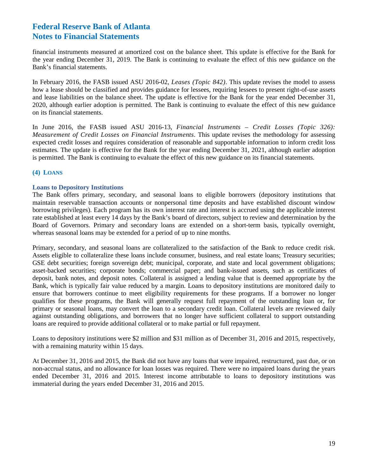financial instruments measured at amortized cost on the balance sheet. This update is effective for the Bank for the year ending December 31, 2019. The Bank is continuing to evaluate the effect of this new guidance on the Bank's financial statements.

In February 2016, the FASB issued ASU 2016-02, *Leases (Topic 842)*. This update revises the model to assess how a lease should be classified and provides guidance for lessees, requiring lessees to present right-of-use assets and lease liabilities on the balance sheet. The update is effective for the Bank for the year ended December 31, 2020, although earlier adoption is permitted. The Bank is continuing to evaluate the effect of this new guidance on its financial statements.

In June 2016, the FASB issued ASU 2016-13, *Financial Instruments – Credit Losses (Topic 326): Measurement of Credit Losses on Financial Instruments*. This update revises the methodology for assessing expected credit losses and requires consideration of reasonable and supportable information to inform credit loss estimates. The update is effective for the Bank for the year ending December 31, 2021, although earlier adoption is permitted. The Bank is continuing to evaluate the effect of this new guidance on its financial statements.

#### **(4) LOANS**

#### **Loans to Depository Institutions**

The Bank offers primary, secondary, and seasonal loans to eligible borrowers (depository institutions that maintain reservable transaction accounts or nonpersonal time deposits and have established discount window borrowing privileges). Each program has its own interest rate and interest is accrued using the applicable interest rate established at least every 14 days by the Bank's board of directors, subject to review and determination by the Board of Governors. Primary and secondary loans are extended on a short-term basis, typically overnight, whereas seasonal loans may be extended for a period of up to nine months.

Primary, secondary, and seasonal loans are collateralized to the satisfaction of the Bank to reduce credit risk. Assets eligible to collateralize these loans include consumer, business, and real estate loans; Treasury securities; GSE debt securities; foreign sovereign debt; municipal, corporate, and state and local government obligations; asset-backed securities; corporate bonds; commercial paper; and bank-issued assets, such as certificates of deposit, bank notes, and deposit notes. Collateral is assigned a lending value that is deemed appropriate by the Bank, which is typically fair value reduced by a margin. Loans to depository institutions are monitored daily to ensure that borrowers continue to meet eligibility requirements for these programs. If a borrower no longer qualifies for these programs, the Bank will generally request full repayment of the outstanding loan or, for primary or seasonal loans, may convert the loan to a secondary credit loan. Collateral levels are reviewed daily against outstanding obligations, and borrowers that no longer have sufficient collateral to support outstanding loans are required to provide additional collateral or to make partial or full repayment.

Loans to depository institutions were \$2 million and \$31 million as of December 31, 2016 and 2015, respectively, with a remaining maturity within 15 days.

At December 31, 2016 and 2015, the Bank did not have any loans that were impaired, restructured, past due, or on non-accrual status, and no allowance for loan losses was required. There were no impaired loans during the years ended December 31, 2016 and 2015. Interest income attributable to loans to depository institutions was immaterial during the years ended December 31, 2016 and 2015.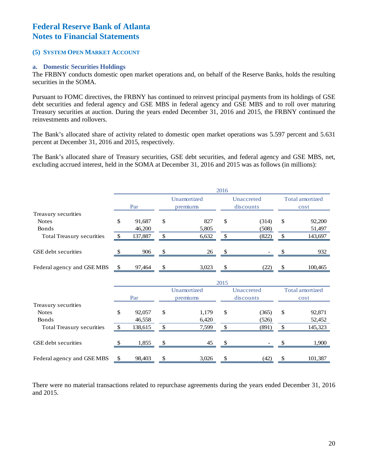#### **(5) SYSTEM OPEN MARKET ACCOUNT**

#### **a. Domestic Securities Holdings**

The FRBNY conducts domestic open market operations and, on behalf of the Reserve Banks, holds the resulting securities in the SOMA.

Pursuant to FOMC directives, the FRBNY has continued to reinvest principal payments from its holdings of GSE debt securities and federal agency and GSE MBS in federal agency and GSE MBS and to roll over maturing Treasury securities at auction. During the years ended December 31, 2016 and 2015, the FRBNY continued the reinvestments and rollovers.

The Bank's allocated share of activity related to domestic open market operations was 5.597 percent and 5.631 percent at December 31, 2016 and 2015, respectively.

The Bank's allocated share of Treasury securities, GSE debt securities, and federal agency and GSE MBS, net, excluding accrued interest, held in the SOMA at December 31, 2016 and 2015 was as follows (in millions):

|                                  |               |              |                         | 2016          |                         |              |                                |  |  |  |
|----------------------------------|---------------|--------------|-------------------------|---------------|-------------------------|--------------|--------------------------------|--|--|--|
|                                  | Par           |              | Unamortized<br>premiums |               | Unaccreted<br>discounts |              | <b>Total amortized</b><br>cost |  |  |  |
| Treasury securities              |               |              |                         |               |                         |              |                                |  |  |  |
| <b>Notes</b>                     | \$<br>91,687  | $\mathbb{S}$ | 827                     | \$            | (314)                   | \$           | 92,200                         |  |  |  |
| <b>Bonds</b>                     | 46,200        |              | 5,805                   |               | (508)                   |              | 51,497                         |  |  |  |
| <b>Total Treasury securities</b> | \$<br>137,887 | \$           | 6,632                   | \$            | (822)                   | \$           | 143,697                        |  |  |  |
| <b>GSE</b> debt securities       | 906           | \$           | 26                      | \$            |                         |              | 932                            |  |  |  |
| Federal agency and GSE MBS       | \$<br>97,464  |              | 3,023                   | $\mathcal{S}$ | (22)                    |              | 100,465                        |  |  |  |
|                                  |               |              | 2015                    |               |                         |              |                                |  |  |  |
|                                  |               |              | Unamortized             |               | Unaccreted              |              | <b>Total amortized</b>         |  |  |  |
|                                  | Par           |              | premiums                |               | discounts               |              | cost                           |  |  |  |
| Treasury securities              |               |              |                         |               |                         |              |                                |  |  |  |
| <b>Notes</b>                     | \$<br>92,057  | $\mathbb{S}$ | 1,179                   | \$            | (365)                   | $\mathbb{S}$ | 92,871                         |  |  |  |
| <b>Bonds</b>                     | 46,558        |              | 6,420                   |               | (526)                   |              | 52,452                         |  |  |  |
| <b>Total Treasury securities</b> | \$<br>138,615 | \$           | 7,599                   | \$            | (891)                   | \$           | 145,323                        |  |  |  |
| <b>GSE</b> debt securities       | 1,855         | S            | 45                      |               |                         |              | 1,900                          |  |  |  |
| Federal agency and GSE MBS       | \$<br>98,403  | \$           | 3,026                   | \$            | (42)                    | \$           | 101,387                        |  |  |  |

There were no material transactions related to repurchase agreements during the years ended December 31, 2016 and 2015.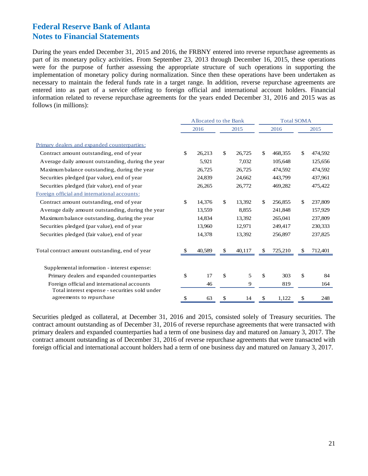During the years ended December 31, 2015 and 2016, the FRBNY entered into reverse repurchase agreements as part of its monetary policy activities. From September 23, 2013 through December 16, 2015, these operations were for the purpose of further assessing the appropriate structure of such operations in supporting the implementation of monetary policy during normalization. Since then these operations have been undertaken as necessary to maintain the federal funds rate in a target range. In addition, reverse repurchase agreements are entered into as part of a service offering to foreign official and international account holders. Financial information related to reverse repurchase agreements for the years ended December 31, 2016 and 2015 was as follows (in millions):

|                                                                            | Allocated to the Bank |              |        | <b>Total SOMA</b> |    |         |  |  |  |
|----------------------------------------------------------------------------|-----------------------|--------------|--------|-------------------|----|---------|--|--|--|
|                                                                            | 2016                  |              | 2015   | 2016              |    | 2015    |  |  |  |
| Primary dealers and expanded counterparties:                               |                       |              |        |                   |    |         |  |  |  |
| Contract amount outstanding, end of year                                   | \$<br>26,213          | $\mathbb{S}$ | 26,725 | \$<br>468,355     | \$ | 474,592 |  |  |  |
| Average daily amount outstanding, during the year                          | 5,921                 |              | 7,032  | 105,648           |    | 125,656 |  |  |  |
| Maximum balance outstanding, during the year                               | 26,725                |              | 26,725 | 474,592           |    | 474,592 |  |  |  |
| Securities pledged (par value), end of year                                | 24,839                |              | 24,662 | 443,799           |    | 437,961 |  |  |  |
| Securities pledged (fair value), end of year                               | 26,265                |              | 26,772 | 469,282           |    | 475,422 |  |  |  |
| Foreign official and international accounts:                               |                       |              |        |                   |    |         |  |  |  |
| Contract amount outstanding, end of year                                   | \$<br>14,376          | \$           | 13,392 | \$<br>256,855     | \$ | 237,809 |  |  |  |
| Average daily amount outstanding, during the year                          | 13,559                |              | 8,855  | 241,848           |    | 157,929 |  |  |  |
| Maximum balance outstanding, during the year                               | 14,834                |              | 13,392 | 265,041           |    | 237,809 |  |  |  |
| Securities pledged (par value), end of year                                | 13,960                |              | 12,971 | 249,417           |    | 230,333 |  |  |  |
| Securities pledged (fair value), end of year                               | 14,378                |              | 13,392 | 256,897           |    | 237,825 |  |  |  |
| Total contract amount outstanding, end of year                             | 40,589                | S            | 40,117 | 725,210           |    | 712,401 |  |  |  |
| Supplemental information - interest expense:                               |                       |              |        |                   |    |         |  |  |  |
| Primary dealers and expanded counterparties                                | \$<br>17              | \$           | 5      | \$<br>303         | \$ | 84      |  |  |  |
| Foreign official and international accounts                                | 46                    |              | 9      | 819               |    | 164     |  |  |  |
| Total interest expense - securities sold under<br>agreements to repurchase | \$<br>63              | \$           | 14     | \$<br>1,122       | \$ | 248     |  |  |  |

Securities pledged as collateral, at December 31, 2016 and 2015, consisted solely of Treasury securities. The contract amount outstanding as of December 31, 2016 of reverse repurchase agreements that were transacted with primary dealers and expanded counterparties had a term of one business day and matured on January 3, 2017. The contract amount outstanding as of December 31, 2016 of reverse repurchase agreements that were transacted with foreign official and international account holders had a term of one business day and matured on January 3, 2017.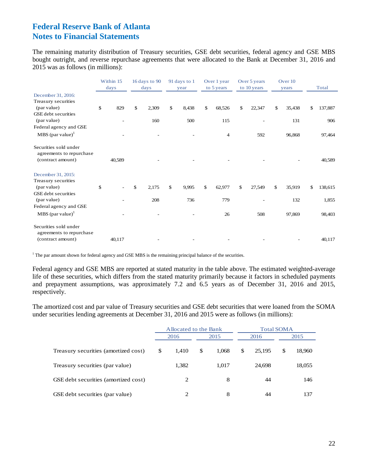The remaining maturity distribution of Treasury securities, GSE debt securities, federal agency and GSE MBS bought outright, and reverse repurchase agreements that were allocated to the Bank at December 31, 2016 and 2015 was as follows (in millions):

|                                                   | Within 15<br>days | 16 days to 90<br>91 days to 1<br>Over 1 year<br>to 5 years<br>days<br>year |       |             | Over 5 years<br>to 10 years | Over 10<br>years | Total        |              |               |
|---------------------------------------------------|-------------------|----------------------------------------------------------------------------|-------|-------------|-----------------------------|------------------|--------------|--------------|---------------|
| December 31, 2016:<br>Treasury securities         |                   |                                                                            |       |             |                             |                  |              |              |               |
| (par value)<br><b>GSE</b> debt securities         | \$<br>829         | \$                                                                         | 2,309 | \$<br>8,438 | \$                          | 68,526           | \$<br>22,347 | \$<br>35,438 | \$<br>137,887 |
| (par value)                                       |                   |                                                                            | 160   | 500         |                             | 115              |              | 131          | 906           |
| Federal agency and GSE                            |                   |                                                                            |       |             |                             |                  |              |              |               |
| $MBS$ (par value) <sup>1</sup>                    |                   |                                                                            |       |             |                             | 4                | 592          | 96,868       | 97,464        |
| Securities sold under<br>agreements to repurchase |                   |                                                                            |       |             |                             |                  |              |              |               |
| (contract amount)                                 | 40,589            |                                                                            |       |             |                             |                  |              |              | 40,589        |
| December 31, 2015:                                |                   |                                                                            |       |             |                             |                  |              |              |               |
| Treasury securities<br>(par value)                | \$                | \$                                                                         | 2,175 | \$<br>9,995 | \$                          | 62,977           | \$<br>27,549 | \$<br>35,919 | \$<br>138,615 |
| <b>GSE</b> debt securities                        |                   |                                                                            |       |             |                             |                  |              |              |               |
| (par value)                                       |                   |                                                                            | 208   | 736         |                             | 779              |              | 132          | 1,855         |
| Federal agency and GSE                            |                   |                                                                            |       |             |                             |                  |              |              |               |
| $MBS$ (par value) <sup>1</sup>                    |                   |                                                                            |       |             |                             | 26               | 508          | 97,869       | 98,403        |
| Securities sold under<br>agreements to repurchase |                   |                                                                            |       |             |                             |                  |              |              |               |
| (contract amount)                                 | 40,117            |                                                                            |       |             |                             |                  |              |              | 40,117        |

 $1$  The par amount shown for federal agency and GSE MBS is the remaining principal balance of the securities.

Federal agency and GSE MBS are reported at stated maturity in the table above. The estimated weighted-average life of these securities, which differs from the stated maturity primarily because it factors in scheduled payments and prepayment assumptions, was approximately 7.2 and 6.5 years as of December 31, 2016 and 2015, respectively.

The amortized cost and par value of Treasury securities and GSE debt securities that were loaned from the SOMA under securities lending agreements at December 31, 2016 and 2015 were as follows (in millions):

|                                        | Allocated to the Bank |             | <b>Total SOMA</b> |              |              |        |  |  |
|----------------------------------------|-----------------------|-------------|-------------------|--------------|--------------|--------|--|--|
|                                        | 2016                  | 2015        |                   | 2016<br>2015 |              |        |  |  |
| Treasury securities (amortized cost)   | \$<br>1.410           | \$<br>1.068 | \$                | 25.195       | <sup>S</sup> | 18,960 |  |  |
| Treasury securities (par value)        | 1,382                 | 1,017       |                   | 24,698       |              | 18,055 |  |  |
| GSE debt securities (amortized cost)   | 2                     | 8           |                   | 44           |              | 146    |  |  |
| <b>GSE</b> debt securities (par value) | 2                     | 8           |                   | 44           |              | 137    |  |  |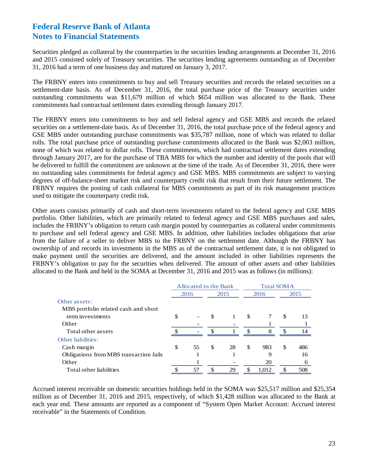Securities pledged as collateral by the counterparties in the securities lending arrangements at December 31, 2016 and 2015 consisted solely of Treasury securities. The securities lending agreements outstanding as of December 31, 2016 had a term of one business day and matured on January 3, 2017.

The FRBNY enters into commitments to buy and sell Treasury securities and records the related securities on a settlement-date basis. As of December 31, 2016, the total purchase price of the Treasury securities under outstanding commitments was \$11,679 million of which \$654 million was allocated to the Bank. These commitments had contractual settlement dates extending through January 2017.

The FRBNY enters into commitments to buy and sell federal agency and GSE MBS and records the related securities on a settlement-date basis. As of December 31, 2016, the total purchase price of the federal agency and GSE MBS under outstanding purchase commitments was \$35,787 million, none of which was related to dollar rolls. The total purchase price of outstanding purchase commitments allocated to the Bank was \$2,003 million, none of which was related to dollar rolls. These commitments, which had contractual settlement dates extending through January 2017, are for the purchase of TBA MBS for which the number and identity of the pools that will be delivered to fulfill the commitment are unknown at the time of the trade. As of December 31, 2016, there were no outstanding sales commitments for federal agency and GSE MBS. MBS commitments are subject to varying degrees of off-balance-sheet market risk and counterparty credit risk that result from their future settlement. The FRBNY requires the posting of cash collateral for MBS commitments as part of its risk management practices used to mitigate the counterparty credit risk.

Other assets consists primarily of cash and short-term investments related to the federal agency and GSE MBS portfolio. Other liabilities, which are primarily related to federal agency and GSE MBS purchases and sales, includes the FRBNY's obligation to return cash margin posted by counterparties as collateral under commitments to purchase and sell federal agency and GSE MBS. In addition, other liabilities includes obligations that arise from the failure of a seller to deliver MBS to the FRBNY on the settlement date. Although the FRBNY has ownership of and records its investments in the MBS as of the contractual settlement date, it is not obligated to make payment until the securities are delivered, and the amount included in other liabilities represents the FRBNY's obligation to pay for the securities when delivered. The amount of other assets and other liabilities allocated to the Bank and held in the SOMA at December 31, 2016 and 2015 was as follows (in millions):

|                                        | Allocated to the Bank |      |    | <b>Total SOMA</b> |       |               |      |  |  |
|----------------------------------------|-----------------------|------|----|-------------------|-------|---------------|------|--|--|
|                                        | 2016                  | 2015 |    |                   | 2016  |               | 2015 |  |  |
| Other assets:                          |                       |      |    |                   |       |               |      |  |  |
| MBS portfolio related cash and short   |                       |      |    |                   |       |               |      |  |  |
| term investments                       | \$                    | \$   |    | \$                |       | \$            | 13   |  |  |
| Other                                  |                       |      |    |                   |       |               |      |  |  |
| Total other assets                     |                       | £.   |    | -\$               | 8     | <sup>\$</sup> | 14   |  |  |
| Other liabilities:                     |                       |      |    |                   |       |               |      |  |  |
| Cash margin                            | \$<br>55              | \$   | 28 | \$                | 983   | S             | 486  |  |  |
| Obligations from MBS transaction fails |                       |      |    |                   | 9     |               | 16   |  |  |
| Other                                  |                       |      |    |                   | 20    |               | 6    |  |  |
| Total other liabilities                | 57                    | \$.  | 29 | S                 | 1,012 | \$            | 508  |  |  |

Accrued interest receivable on domestic securities holdings held in the SOMA was \$25,517 million and \$25,354 million as of December 31, 2016 and 2015, respectively, of which \$1,428 million was allocated to the Bank at each year end. These amounts are reported as a component of "System Open Market Account: Accrued interest receivable" in the Statements of Condition.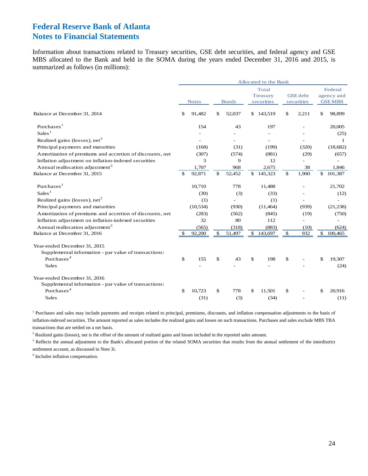Information about transactions related to Treasury securities, GSE debt securities, and federal agency and GSE MBS allocated to the Bank and held in the SOMA during the years ended December 31, 2016 and 2015, is summarized as follows (in millions):

|                                                                                                                                 |    |              |              |              | Allocated to the Bank           |                               |       |                                         |
|---------------------------------------------------------------------------------------------------------------------------------|----|--------------|--------------|--------------|---------------------------------|-------------------------------|-------|-----------------------------------------|
|                                                                                                                                 |    | <b>Notes</b> |              | <b>Bonds</b> | Total<br>Treasury<br>securities | <b>GSE</b> debt<br>securities |       | Federal<br>agency and<br><b>GSE MBS</b> |
| Balance at December 31, 2014                                                                                                    | \$ | 91,482       | \$           | 52,037       | \$<br>143,519                   | \$                            | 2,211 | \$<br>98,899                            |
| Purchases $1$                                                                                                                   |    | 154          |              | 43           | 197                             |                               |       | 20,005                                  |
| Sales <sup>1</sup>                                                                                                              |    |              |              |              |                                 |                               |       | (25)                                    |
| Realized gains (losses), $net2$                                                                                                 |    |              |              |              |                                 |                               |       | 1                                       |
| Principal payments and maturities                                                                                               |    | (168)        |              | (31)         | (199)                           |                               | (320) | (18,682)                                |
| Amortization of premiums and accretion of discounts, net                                                                        |    | (307)        |              | (574)        | (881)                           |                               | (29)  | (657)                                   |
| Inflation adjustment on inflation-indexed securities                                                                            |    | 3            |              | 9            | 12                              |                               |       |                                         |
| Annual reallocation adjustment <sup>3</sup>                                                                                     |    | 1,707        |              | 968          | 2,675                           |                               | 38    | 1,846                                   |
| Balance at December 31, 2015                                                                                                    |    | 92,871       | $\mathbb{S}$ | 52,452       | 145,323                         | $\mathbb{S}$                  | 1,900 | \$<br>101,387                           |
| Purchases $1$                                                                                                                   |    | 10,710       |              | 778          | 11,488                          |                               |       | 21,702                                  |
| Sales $1$                                                                                                                       |    | (30)         |              | (3)          | (33)                            |                               |       | (12)                                    |
| Realized gains (losses), net <sup>2</sup>                                                                                       |    | (1)          |              |              | (1)                             |                               |       |                                         |
| Principal payments and maturities                                                                                               |    | (10, 534)    |              | (930)        | (11, 464)                       |                               | (939) | (21, 238)                               |
| Amortization of premiums and accretion of discounts, net                                                                        |    | (283)        |              | (562)        | (845)                           |                               | (19)  | (750)                                   |
| Inflation adjustment on inflation-indexed securities                                                                            |    | 32           |              | 80           | 112                             |                               |       |                                         |
| Annual reallocation adjustment <sup>3</sup>                                                                                     |    | (565)        |              | (318)        | (883)                           |                               | (10)  | (624)                                   |
| Balance at December 31, 2016                                                                                                    | S  | 92,200       | \$           | 51,497       | \$<br>143,697                   | $\mathbb{S}$                  | 932   | \$100,465                               |
| Year-ended December 31, 2015<br>Supplemental information - par value of transactions:<br>Purchases <sup>4</sup><br><b>Sales</b> | \$ | 155          | \$           | 43           | \$<br>198                       | \$                            |       | \$<br>19,307<br>(24)                    |
| Year-ended December 31, 2016<br>Supplemental information - par value of transactions:                                           |    |              |              |              |                                 |                               |       |                                         |
| Purchases <sup>4</sup>                                                                                                          | \$ | 10.723       | \$           | 778          | \$<br>11.501                    | \$                            |       | \$<br>20,916                            |
| <b>Sales</b>                                                                                                                    |    | (31)         |              | (3)          | (34)                            |                               |       | (11)                                    |

<sup>1</sup> Purchases and sales may include payments and receipts related to principal, premiums, discounts, and inflation compensation adjustments to the basis of inflation-indexed securities. The amount reported as sales includes the realized gains and losses on such transactions. Purchases and sales exclude MBS TBA transactions that are settled on a net basis.

<sup>2</sup> Realized gains (losses), net is the offset of the amount of realized gains and losses included in the reported sales amount.

<sup>3</sup> Reflects the annual adjustment to the Bank's allocated portion of the related SOMA securities that results from the annual settlement of the interdistrict settlement account, as discussed in Note 3i.

<sup>4</sup> Includes inflation compensation.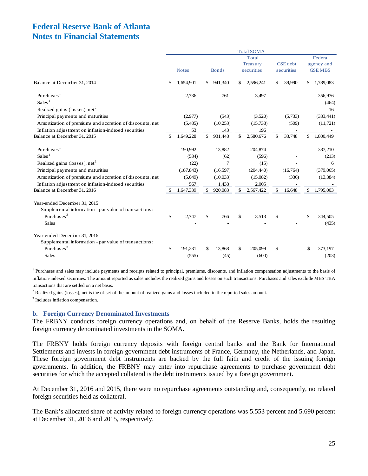|                                                                                       |    |              |    |              | <b>Total SOMA</b> |                 |                 |
|---------------------------------------------------------------------------------------|----|--------------|----|--------------|-------------------|-----------------|-----------------|
|                                                                                       |    |              |    |              | Total             |                 | Federal         |
|                                                                                       |    |              |    |              | Treasury          | <b>GSE</b> debt | agency and      |
|                                                                                       |    | <b>Notes</b> |    | <b>Bonds</b> | securities        | securities      | <b>GSE MBS</b>  |
| Balance at December 31, 2014                                                          | \$ | 1,654,901    | \$ | 941,340      | \$<br>2,596,241   | \$<br>39,990    | \$<br>1,789,083 |
| Purchases <sup>1</sup>                                                                |    | 2,736        |    | 761          | 3,497             |                 | 356,976         |
| Sales <sup>1</sup>                                                                    |    |              |    |              |                   |                 | (464)           |
| Realized gains (losses), net <sup>2</sup>                                             |    |              |    |              |                   |                 | 16              |
| Principal payments and maturities                                                     |    | (2,977)      |    | (543)        | (3,520)           | (5,733)         | (333, 441)      |
| Amortization of premiums and accretion of discounts, net                              |    | (5,485)      |    | (10,253)     | (15,738)          | (509)           | (11, 721)       |
| Inflation adjustment on inflation-indexed securities                                  |    | 53           |    | 143          | 196               |                 |                 |
| Balance at December 31, 2015                                                          | \$ | 1,649,228    | \$ | 931,448      | \$<br>2,580,676   | \$<br>33,748    | \$<br>1,800,449 |
| Purchases <sup>1</sup>                                                                |    | 190,992      |    | 13,882       | 204,874           |                 | 387,210         |
| Sales $1$                                                                             |    | (534)        |    | (62)         | (596)             |                 | (213)           |
| Realized gains (losses), net <sup>2</sup>                                             |    | (22)         |    | 7            | (15)              |                 | 6               |
| Principal payments and maturities                                                     |    | (187, 843)   |    | (16, 597)    | (204, 440)        | (16,764)        | (379,065)       |
| Amortization of premiums and accretion of discounts, net                              |    | (5,049)      |    | (10,033)     | (15,082)          | (336)           | (13, 384)       |
| Inflation adjustment on inflation-indexed securities                                  |    | 567          |    | 1,438        | 2,005             |                 |                 |
| Balance at December 31, 2016                                                          | -S | 1,647,339    | S. | 920,083      | \$<br>2,567,422   | \$<br>16,648    | \$<br>1,795,003 |
| Year-ended December 31, 2015<br>Supplemental information - par value of transactions: |    |              |    |              |                   |                 |                 |
| Purchases <sup>3</sup>                                                                | \$ | 2,747        | \$ | 766          | \$<br>3,513       | \$              | \$<br>344,505   |
| <b>Sales</b>                                                                          |    |              |    |              |                   |                 | (435)           |
| Year-ended December 31, 2016                                                          |    |              |    |              |                   |                 |                 |
| Supplemental information - par value of transactions:                                 |    |              |    |              |                   |                 |                 |
| Purchases $3$                                                                         | \$ | 191,231      | \$ | 13,868       | \$<br>205,099     | \$              | \$<br>373,197   |
| <b>Sales</b>                                                                          |    | (555)        |    | (45)         | (600)             |                 | (203)           |

<sup>1</sup> Purchases and sales may include payments and receipts related to principal, premiums, discounts, and inflation compensation adjustments to the basis of inflation-indexed securities. The amount reported as sales includes the realized gains and losses on such transactions. Purchases and sales exclude MBS TBA transactions that are settled on a net basis.

<sup>2</sup> Realized gains (losses), net is the offset of the amount of realized gains and losses included in the reported sales amount.

<sup>3</sup> Includes inflation compensation.

#### **b. Foreign Currency Denominated Investments**

The FRBNY conducts foreign currency operations and, on behalf of the Reserve Banks, holds the resulting foreign currency denominated investments in the SOMA.

The FRBNY holds foreign currency deposits with foreign central banks and the Bank for International Settlements and invests in foreign government debt instruments of France, Germany, the Netherlands, and Japan. These foreign government debt instruments are backed by the full faith and credit of the issuing foreign governments. In addition, the FRBNY may enter into repurchase agreements to purchase government debt securities for which the accepted collateral is the debt instruments issued by a foreign government.

At December 31, 2016 and 2015, there were no repurchase agreements outstanding and, consequently, no related foreign securities held as collateral.

The Bank's allocated share of activity related to foreign currency operations was 5.553 percent and 5.690 percent at December 31, 2016 and 2015, respectively.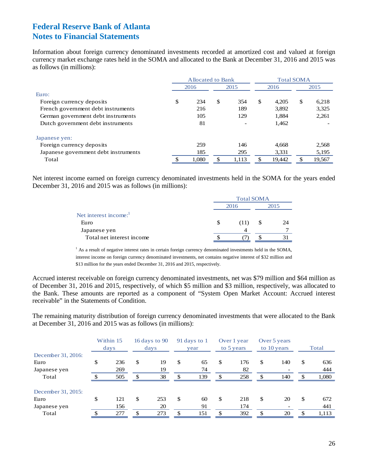Information about foreign currency denominated investments recorded at amortized cost and valued at foreign currency market exchange rates held in the SOMA and allocated to the Bank at December 31, 2016 and 2015 was as follows (in millions):

|                                      | <b>Allocated to Bank</b> |       |      |       |    | <b>Total SOMA</b> |   |        |  |
|--------------------------------------|--------------------------|-------|------|-------|----|-------------------|---|--------|--|
|                                      | 2016<br>2015             |       | 2016 |       |    | 2015              |   |        |  |
| Euro:                                |                          |       |      |       |    |                   |   |        |  |
| Foreign currency deposits            | \$                       | 234   | \$   | 354   | \$ | 4,205             | S | 6,218  |  |
| French government debt instruments   |                          | 216   |      | 189   |    | 3,892             |   | 3,325  |  |
| German government debt instruments   |                          | 105   |      | 129   |    | 1,884             |   | 2,261  |  |
| Dutch government debt instruments    |                          | 81    |      |       |    | 1,462             |   |        |  |
| Japanese yen:                        |                          |       |      |       |    |                   |   |        |  |
| Foreign currency deposits            |                          | 259   |      | 146   |    | 4.668             |   | 2,568  |  |
| Japanese government debt instruments |                          | 185   |      | 295   |    | 3,331             |   | 5,195  |  |
| Total                                |                          | 1,080 | \$   | 1,113 | \$ | 19,442            |   | 19,567 |  |

Net interest income earned on foreign currency denominated investments held in the SOMA for the years ended December 31, 2016 and 2015 was as follows (in millions):

|                           | <b>Total SOMA</b> |      |  |  |
|---------------------------|-------------------|------|--|--|
|                           | 2016              | 2015 |  |  |
| Net interest income:      |                   |      |  |  |
| Euro                      | (11)              | 24   |  |  |
| Japanese yen              |                   |      |  |  |
| Total net interest income |                   |      |  |  |

<sup>1</sup> As a result of negative interest rates in certain foreign currency denominated investments held in the SOMA, interest income on foreign currency denominated investments, net contains negative interest of \$32 million and \$13 million for the years ended December 31, 2016 and 2015, respectively.

Accrued interest receivable on foreign currency denominated investments, net was \$79 million and \$64 million as of December 31, 2016 and 2015, respectively, of which \$5 million and \$3 million, respectively, was allocated to the Bank. These amounts are reported as a component of "System Open Market Account: Accrued interest receivable" in the Statements of Condition.

The remaining maturity distribution of foreign currency denominated investments that were allocated to the Bank at December 31, 2016 and 2015 was as follows (in millions):

|                    | Within 15<br>days | 16 days to $90$<br>days | 91 days to 1<br>year |     | Over 1 year<br>to 5 years |               | Over 5 years<br>to 10 years |     | Total |
|--------------------|-------------------|-------------------------|----------------------|-----|---------------------------|---------------|-----------------------------|-----|-------|
| December 31, 2016: |                   |                         |                      |     |                           |               |                             |     |       |
| Euro               | \$<br>236         | \$<br>19                | \$<br>65             | -\$ | 176                       | \$            | 140                         | \$  | 636   |
| Japanese yen       | 269               | 19                      | 74                   |     | 82                        |               |                             |     | 444   |
| Total              | 505               | \$<br>38                | \$<br>139            | \$  | 258                       | \$            | 140                         | \$. | 1,080 |
|                    |                   |                         |                      |     |                           |               |                             |     |       |
| December 31, 2015: |                   |                         |                      |     |                           |               |                             |     |       |
| Euro               | \$<br>121         | \$<br>253               | \$<br>60             | \$  | 218                       | <sup>\$</sup> | 20                          | \$  | 672   |
| Japanese yen       | 156               | 20                      | 91                   |     | 174                       |               |                             |     | 441   |
| Total              | 277               | \$<br>273               | \$<br>151            | \$  | 392                       | S.            | 20                          | \$  | 1,113 |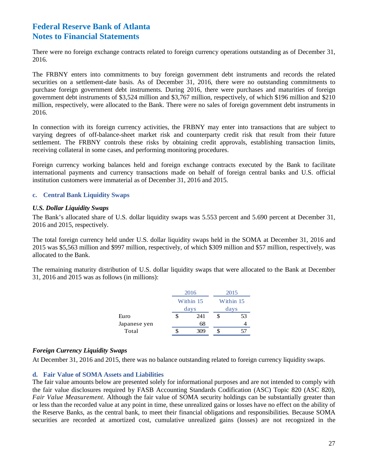There were no foreign exchange contracts related to foreign currency operations outstanding as of December 31, 2016.

The FRBNY enters into commitments to buy foreign government debt instruments and records the related securities on a settlement-date basis. As of December 31, 2016, there were no outstanding commitments to purchase foreign government debt instruments. During 2016, there were purchases and maturities of foreign government debt instruments of \$3,524 million and \$3,767 million, respectively, of which \$196 million and \$210 million, respectively, were allocated to the Bank. There were no sales of foreign government debt instruments in 2016.

In connection with its foreign currency activities, the FRBNY may enter into transactions that are subject to varying degrees of off-balance-sheet market risk and counterparty credit risk that result from their future settlement. The FRBNY controls these risks by obtaining credit approvals, establishing transaction limits, receiving collateral in some cases, and performing monitoring procedures.

Foreign currency working balances held and foreign exchange contracts executed by the Bank to facilitate international payments and currency transactions made on behalf of foreign central banks and U.S. official institution customers were immaterial as of December 31, 2016 and 2015.

#### **c. Central Bank Liquidity Swaps**

#### *U.S. Dollar Liquidity Swaps*

The Bank's allocated share of U.S. dollar liquidity swaps was 5.553 percent and 5.690 percent at December 31, 2016 and 2015, respectively.

The total foreign currency held under U.S. dollar liquidity swaps held in the SOMA at December 31, 2016 and 2015 was \$5,563 million and \$997 million, respectively, of which \$309 million and \$57 million, respectively, was allocated to the Bank.

The remaining maturity distribution of U.S. dollar liquidity swaps that were allocated to the Bank at December 31, 2016 and 2015 was as follows (in millions):

|              |           | 2016 |   | 2015      |
|--------------|-----------|------|---|-----------|
|              | Within 15 |      |   | Within 15 |
|              | days      |      |   | days      |
| Euro         |           | 241  | S | 53        |
| Japanese yen |           | 68   |   |           |
| Total        |           | 309  |   |           |

#### *Foreign Currency Liquidity Swaps*

At December 31, 2016 and 2015, there was no balance outstanding related to foreign currency liquidity swaps.

#### **d. Fair Value of SOMA Assets and Liabilities**

The fair value amounts below are presented solely for informational purposes and are not intended to comply with the fair value disclosures required by FASB Accounting Standards Codification (ASC) Topic 820 (ASC 820), *Fair Value Measurement*. Although the fair value of SOMA security holdings can be substantially greater than or less than the recorded value at any point in time, these unrealized gains or losses have no effect on the ability of the Reserve Banks, as the central bank, to meet their financial obligations and responsibilities. Because SOMA securities are recorded at amortized cost, cumulative unrealized gains (losses) are not recognized in the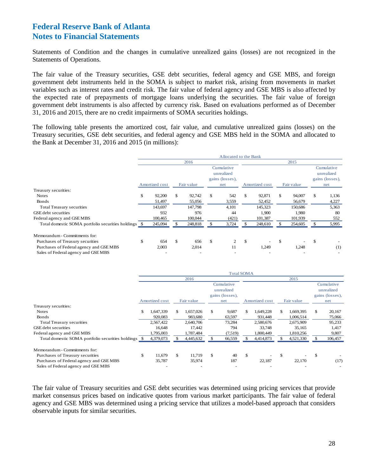Statements of Condition and the changes in cumulative unrealized gains (losses) are not recognized in the Statements of Operations.

The fair value of the Treasury securities, GSE debt securities, federal agency and GSE MBS, and foreign government debt instruments held in the SOMA is subject to market risk, arising from movements in market variables such as interest rates and credit risk. The fair value of federal agency and GSE MBS is also affected by the expected rate of prepayments of mortgage loans underlying the securities. The fair value of foreign government debt instruments is also affected by currency risk. Based on evaluations performed as of December 31, 2016 and 2015, there are no credit impairments of SOMA securities holdings.

The following table presents the amortized cost, fair value, and cumulative unrealized gains (losses) on the Treasury securities, GSE debt securities, and federal agency and GSE MBS held in the SOMA and allocated to the Bank at December 31, 2016 and 2015 (in millions):

|                                                                              |                |     |            |     | Allocated to the Bank    |                |     |            |    |                          |
|------------------------------------------------------------------------------|----------------|-----|------------|-----|--------------------------|----------------|-----|------------|----|--------------------------|
|                                                                              |                |     | 2016       |     |                          |                |     | 2015       |    |                          |
|                                                                              |                |     |            |     | Cumulative<br>unrealized |                |     |            |    | Cumulative<br>unrealized |
|                                                                              | Amortized cost |     | Fair value |     | gains (losses),<br>net   | Amortized cost |     | Fair value |    | gains (losses),<br>net   |
| Treasury securities:                                                         |                |     |            |     |                          |                |     |            |    |                          |
| <b>Notes</b>                                                                 | \$<br>92,200   | S.  | 92,742     | \$. | 542                      | \$<br>92,871   | \$. | 94,007     | S  | 1,136                    |
| Bonds                                                                        | 51,497         |     | 55,056     |     | 3,559                    | 52,452         |     | 56,679     |    | 4,227                    |
| <b>Total Treasury securities</b>                                             | 143,697        |     | 147,798    |     | 4,101                    | 145,323        |     | 150,686    |    | 5,363                    |
| <b>GSE</b> debt securities                                                   | 932            |     | 976        |     | 44                       | 1,900          |     | 1,980      |    | -80                      |
| Federal agency and GSEMBS                                                    | 100,465        |     | 100,044    |     | (421)                    | 101,387        |     | 101,939    |    | 552                      |
| Total domestic SOMA portfolio securities holdings \$                         | 245,094        |     | 248,818    |     | 3,724                    | 248,610        |     | 254,605    |    | 5,995                    |
| Memorandum - Commitments for:                                                |                |     |            |     |                          |                |     |            |    |                          |
| Purchases of Treasury securities                                             | \$<br>654      | \$. | 656        | S   | 2                        | \$             | \$. |            | \$ |                          |
| Purchases of Federal agency and GSEMBS<br>Sales of Federal agency and GSEMBS | 2,003          |     | 2,014      |     | 11                       | 1,249          |     | 1,248      |    | (1)                      |

|                                                      | <b>Total SOMA</b> |                |    |            |    |                 |              |                |    |            |    |                 |
|------------------------------------------------------|-------------------|----------------|----|------------|----|-----------------|--------------|----------------|----|------------|----|-----------------|
|                                                      | 2016              |                |    |            |    |                 | 2015         |                |    |            |    |                 |
|                                                      |                   |                |    |            |    | Cumulative      |              |                |    |            |    | Cumulative      |
|                                                      |                   |                |    |            |    | unrealized      |              |                |    |            |    | unrealized      |
|                                                      |                   |                |    |            |    | gains (losses), |              |                |    |            |    | gains (losses), |
|                                                      |                   | Amortized cost |    | Fair value |    | net             |              | Amortized cost |    | Fair value |    | net             |
| Treasury securities:                                 |                   |                |    |            |    |                 |              |                |    |            |    |                 |
| <b>Notes</b>                                         | \$                | 1,647,339      | \$ | 1,657,026  | \$ | 9,687           | \$           | 1,649,228      | \$ | 1,669,395  | \$ | 20,167          |
| Bonds                                                |                   | 920,083        |    | 983,680    |    | 63,597          |              | 931,448        |    | 1,006,514  |    | 75,066          |
| Total Treasury securities                            |                   | 2,567,422      |    | 2,640,706  |    | 73,284          |              | 2,580,676      |    | 2,675,909  |    | 95,233          |
| GSE debt securities                                  |                   | 16,648         |    | 17,442     |    | 794             |              | 33,748         |    | 35,165     |    | 1,417           |
| Federal agency and GSEMBS                            |                   | 1,795,003      |    | 1,787,484  |    | (7,519)         |              | 1,800,449      |    | 1,810,256  |    | 9,807           |
| Total domestic SOMA portfolio securities holdings \$ |                   | 4,379,073      |    | 4,445,632  |    | 66,559          |              | 4,414,873      | S. | 4,521,330  |    | 106,457         |
| Memorandum - Commitments for:                        |                   |                |    |            |    |                 |              |                |    |            |    |                 |
| Purchases of Treasury securities                     | \$                | 11,679         | \$ | 11.719     | \$ | 40              | $\mathbb{S}$ |                | \$ |            | \$ |                 |
| Purchases of Federal agency and GSE MBS              |                   | 35,787         |    | 35,974     |    | 187             |              | 22,187         |    | 22,170     |    | (17)            |
| Sales of Federal agency and GSEMBS                   |                   |                |    |            |    |                 |              |                |    |            |    |                 |

The fair value of Treasury securities and GSE debt securities was determined using pricing services that provide market consensus prices based on indicative quotes from various market participants. The fair value of federal agency and GSE MBS was determined using a pricing service that utilizes a model-based approach that considers observable inputs for similar securities.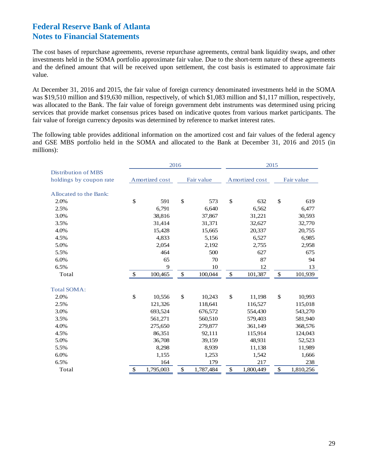The cost bases of repurchase agreements, reverse repurchase agreements, central bank liquidity swaps, and other investments held in the SOMA portfolio approximate fair value. Due to the short-term nature of these agreements and the defined amount that will be received upon settlement, the cost basis is estimated to approximate fair value.

At December 31, 2016 and 2015, the fair value of foreign currency denominated investments held in the SOMA was \$19,510 million and \$19,630 million, respectively, of which \$1,083 million and \$1,117 million, respectively, was allocated to the Bank. The fair value of foreign government debt instruments was determined using pricing services that provide market consensus prices based on indicative quotes from various market participants. The fair value of foreign currency deposits was determined by reference to market interest rates.

The following table provides additional information on the amortized cost and fair values of the federal agency and GSE MBS portfolio held in the SOMA and allocated to the Bank at December 31, 2016 and 2015 (in millions):

|                         |               |                | 2016       |           | 2015         |                |              |            |
|-------------------------|---------------|----------------|------------|-----------|--------------|----------------|--------------|------------|
| Distribution of MBS     |               |                |            |           |              |                |              |            |
| holdings by coupon rate |               | Amortized cost | Fair value |           |              | Amortized cost |              | Fair value |
| Allocated to the Bank:  |               |                |            |           |              |                |              |            |
| 2.0%                    | \$            | 591            | \$         | 573       | \$           | 632            | \$           | 619        |
| 2.5%                    |               | 6,791          |            | 6,640     |              | 6,562          |              | 6,477      |
| 3.0%                    |               | 38,816         |            | 37,867    |              | 31,221         |              | 30,593     |
| 3.5%                    |               | 31,414         |            | 31,371    |              | 32,627         |              | 32,770     |
| 4.0%                    |               | 15,428         |            | 15,665    |              | 20,337         |              | 20,755     |
| 4.5%                    |               | 4,833          |            | 5,156     |              | 6,527          |              | 6,985      |
| 5.0%                    |               | 2,054          |            | 2,192     |              | 2,755          |              | 2,958      |
| 5.5%                    |               | 464            |            | 500       |              | 627            |              | 675        |
| 6.0%                    |               | 65             |            | 70        |              | 87             |              | 94         |
| 6.5%                    |               | 9              |            | 10        |              | 12             |              | 13         |
| Total                   | $\frac{1}{2}$ | 100,465        | \$         | 100,044   | $\mathbb{S}$ | 101,387        | $\mathbb{S}$ | 101,939    |
| <b>Total SOMA:</b>      |               |                |            |           |              |                |              |            |
| 2.0%                    | \$            | 10,556         | \$         | 10,243    | \$           | 11,198         | \$           | 10,993     |
| 2.5%                    |               | 121,326        |            | 118,641   |              | 116,527        |              | 115,018    |
| 3.0%                    |               | 693,524        |            | 676,572   |              | 554,430        |              | 543,270    |
| 3.5%                    |               | 561,271        |            | 560,510   |              | 579,403        |              | 581,940    |
| 4.0%                    |               | 275,650        |            | 279,877   |              | 361,149        |              | 368,576    |
| 4.5%                    |               | 86,351         |            | 92,111    |              | 115,914        |              | 124,043    |
| 5.0%                    |               | 36,708         |            | 39,159    |              | 48,931         |              | 52,523     |
| 5.5%                    |               | 8,298          |            | 8,939     |              | 11,138         |              | 11,989     |
| 6.0%                    |               | 1,155          |            | 1,253     |              | 1,542          |              | 1,666      |
| 6.5%                    |               | 164            |            | 179       |              | 217            |              | 238        |
| Total                   | \$            | 1,795,003      | \$         | 1,787,484 | \$           | 1,800,449      | $\mathbb{S}$ | 1,810,256  |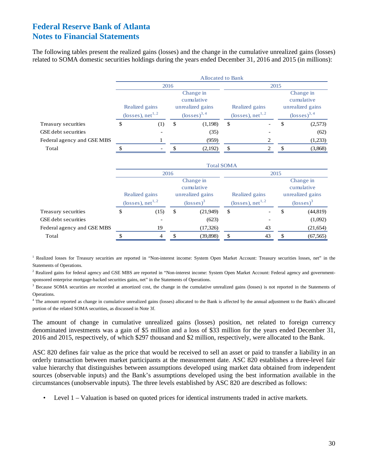The following tables present the realized gains (losses) and the change in the cumulative unrealized gains (losses) related to SOMA domestic securities holdings during the years ended December 31, 2016 and 2015 (in millions):

|                            | <b>Allocated to Bank</b>               |      |    |                                    |      |                                        |     |                                    |  |  |
|----------------------------|----------------------------------------|------|----|------------------------------------|------|----------------------------------------|-----|------------------------------------|--|--|
|                            |                                        | 2016 |    |                                    | 2015 |                                        |     |                                    |  |  |
|                            |                                        |      |    | Change in<br>cumulative            |      |                                        |     | Change in<br>cumulative            |  |  |
|                            | Realized gains                         |      |    | unrealized gains                   |      | Realized gains                         |     | unrealized gains                   |  |  |
|                            | $(\text{losses})$ , net <sup>1,2</sup> |      |    | $\left(\text{losses}\right)^{3,4}$ |      | $(\text{losses})$ , net <sup>1,2</sup> |     | $\left(\text{losses}\right)^{3,4}$ |  |  |
| Treasury securities        | \$                                     | (1)  | \$ | (1,198)                            | \$   |                                        | \$  | (2,573)                            |  |  |
| <b>GSE</b> debt securities |                                        |      |    | (35)                               |      |                                        |     | (62)                               |  |  |
| Federal agency and GSE MBS |                                        |      |    | (959)                              |      | 2                                      |     | (1,233)                            |  |  |
| Total                      | ¢                                      |      | \$ | (2,192)                            | \$   | $\overline{c}$                         | \$. | (3,868)                            |  |  |
|                            |                                        |      |    |                                    |      |                                        |     |                                    |  |  |
|                            |                                        |      |    | <b>Total SOMA</b>                  |      |                                        |     |                                    |  |  |
|                            |                                        | 2016 |    |                                    | 2015 |                                        |     |                                    |  |  |
|                            |                                        |      |    | Change in                          |      |                                        |     | Change in                          |  |  |
|                            |                                        |      |    |                                    |      |                                        |     |                                    |  |  |

|                           |                                                                          | Realized gains |   | $\alpha$<br>cumulative<br>unrealized gains |                                        | Realized gains                 |   | $\alpha$<br>cumulative<br>unrealized gains |
|---------------------------|--------------------------------------------------------------------------|----------------|---|--------------------------------------------|----------------------------------------|--------------------------------|---|--------------------------------------------|
|                           | $(\text{losses})$ , net <sup>1,2</sup><br>$\left(\text{losses}\right)^3$ |                |   |                                            | $(\text{losses})$ , net <sup>1,2</sup> | $\left(\text{losses}\right)^3$ |   |                                            |
| Treasury securities       |                                                                          | (15)           | S | (21,949)                                   | S                                      | $\overline{\phantom{0}}$       | ◡ | (44,819)                                   |
| GSE debt securities       |                                                                          |                |   | (623)                                      |                                        |                                |   | (1,092)                                    |
| Federal agency and GSEMBS |                                                                          | 19             |   | (17, 326)                                  |                                        | 43                             |   | (21, 654)                                  |
| Total                     |                                                                          |                |   | (39, 898)                                  |                                        |                                |   | (67, 565)                                  |

<sup>1</sup> Realized losses for Treasury securities are reported in "Non-interest income: System Open Market Account: Treasury securities losses, net" in the Statements of Operations.

 $<sup>2</sup>$  Realized gains for federal agency and GSE MBS are reported in "Non-interest income: System Open Market Account: Federal agency and government-</sup> sponsored enterprise mortgage-backed securities gains, net" in the Statements of Operations.

<sup>3</sup> Because SOMA securities are recorded at amortized cost, the change in the cumulative unrealized gains (losses) is not reported in the Statements of **Operations** 

<sup>4</sup> The amount reported as change in cumulative unrealized gains (losses) allocated to the Bank is affected by the annual adjustment to the Bank's allocated portion of the related SOMA securities, as discussed in Note 3f.

The amount of change in cumulative unrealized gains (losses) position, net related to foreign currency denominated investments was a gain of \$5 million and a loss of \$33 million for the years ended December 31, 2016 and 2015, respectively, of which \$297 thousand and \$2 million, respectively, were allocated to the Bank.

ASC 820 defines fair value as the price that would be received to sell an asset or paid to transfer a liability in an orderly transaction between market participants at the measurement date. ASC 820 establishes a three-level fair value hierarchy that distinguishes between assumptions developed using market data obtained from independent sources (observable inputs) and the Bank's assumptions developed using the best information available in the circumstances (unobservable inputs). The three levels established by ASC 820 are described as follows:

• Level 1 – Valuation is based on quoted prices for identical instruments traded in active markets.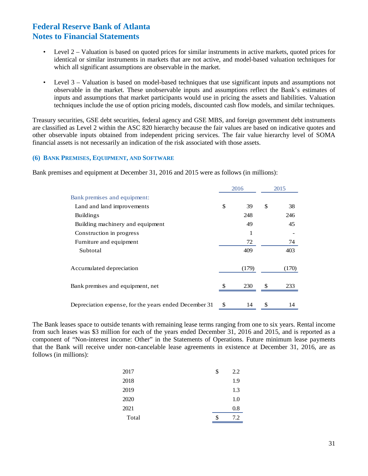- Level 2 Valuation is based on quoted prices for similar instruments in active markets, quoted prices for identical or similar instruments in markets that are not active, and model-based valuation techniques for which all significant assumptions are observable in the market.
- Level 3 Valuation is based on model-based techniques that use significant inputs and assumptions not observable in the market. These unobservable inputs and assumptions reflect the Bank's estimates of inputs and assumptions that market participants would use in pricing the assets and liabilities. Valuation techniques include the use of option pricing models, discounted cash flow models, and similar techniques.

Treasury securities, GSE debt securities, federal agency and GSE MBS, and foreign government debt instruments are classified as Level 2 within the ASC 820 hierarchy because the fair values are based on indicative quotes and other observable inputs obtained from independent pricing services. The fair value hierarchy level of SOMA financial assets is not necessarily an indication of the risk associated with those assets.

#### **(6) BANK PREMISES, EQUIPMENT, AND SOFTWARE**

Bank premises and equipment at December 31, 2016 and 2015 were as follows (in millions):

|                                                       | 2016     | 2015      |
|-------------------------------------------------------|----------|-----------|
| Bank premises and equipment:                          |          |           |
| Land and land improvements                            | \$<br>39 | \$<br>38  |
| <b>Buildings</b>                                      | 248      | 246       |
| Building machinery and equipment                      | 49       | 45        |
| Construction in progress                              | 1        |           |
| Furniture and equipment                               | 72       | 74        |
| Subtotal                                              | 409      | 403       |
| Accumulated depreciation                              | (179)    | (170)     |
| Bank premises and equipment, net                      | 230      | \$<br>233 |
| Depreciation expense, for the years ended December 31 | \$<br>14 | \$<br>14  |

The Bank leases space to outside tenants with remaining lease terms ranging from one to six years. Rental income from such leases was \$3 million for each of the years ended December 31, 2016 and 2015, and is reported as a component of "Non-interest income: Other" in the Statements of Operations. Future minimum lease payments that the Bank will receive under non-cancelable lease agreements in existence at December 31, 2016, are as follows (in millions):

| 2017  | \$<br>2.2 |
|-------|-----------|
| 2018  | 1.9       |
| 2019  | 1.3       |
| 2020  | 1.0       |
| 2021  | 0.8       |
| Total | 7.2       |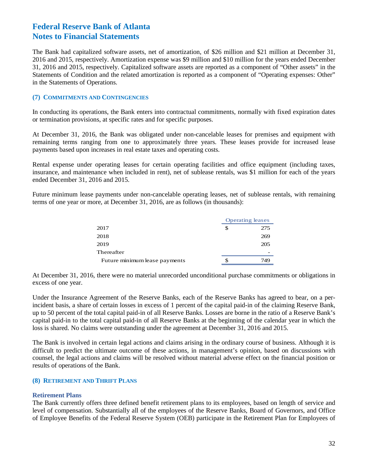The Bank had capitalized software assets, net of amortization, of \$26 million and \$21 million at December 31, 2016 and 2015, respectively. Amortization expense was \$9 million and \$10 million for the years ended December 31, 2016 and 2015, respectively. Capitalized software assets are reported as a component of "Other assets" in the Statements of Condition and the related amortization is reported as a component of "Operating expenses: Other" in the Statements of Operations.

#### **(7) COMMITMENTS AND CONTINGENCIES**

In conducting its operations, the Bank enters into contractual commitments, normally with fixed expiration dates or termination provisions, at specific rates and for specific purposes.

At December 31, 2016, the Bank was obligated under non-cancelable leases for premises and equipment with remaining terms ranging from one to approximately three years. These leases provide for increased lease payments based upon increases in real estate taxes and operating costs.

Rental expense under operating leases for certain operating facilities and office equipment (including taxes, insurance, and maintenance when included in rent), net of sublease rentals, was \$1 million for each of the years ended December 31, 2016 and 2015.

Future minimum lease payments under non-cancelable operating leases, net of sublease rentals, with remaining terms of one year or more, at December 31, 2016, are as follows (in thousands):

|                               |   | <b>Operating leases</b> |
|-------------------------------|---|-------------------------|
| 2017                          | S | 275                     |
| 2018                          |   | 269                     |
| 2019                          |   | 205                     |
| Thereafter                    |   |                         |
| Future minimum lease payments |   | 749                     |

At December 31, 2016, there were no material unrecorded unconditional purchase commitments or obligations in excess of one year.

Under the Insurance Agreement of the Reserve Banks, each of the Reserve Banks has agreed to bear, on a perincident basis, a share of certain losses in excess of 1 percent of the capital paid-in of the claiming Reserve Bank, up to 50 percent of the total capital paid-in of all Reserve Banks. Losses are borne in the ratio of a Reserve Bank's capital paid-in to the total capital paid-in of all Reserve Banks at the beginning of the calendar year in which the loss is shared. No claims were outstanding under the agreement at December 31, 2016 and 2015.

The Bank is involved in certain legal actions and claims arising in the ordinary course of business. Although it is difficult to predict the ultimate outcome of these actions, in management's opinion, based on discussions with counsel, the legal actions and claims will be resolved without material adverse effect on the financial position or results of operations of the Bank.

#### **(8) RETIREMENT AND THRIFT PLANS**

#### **Retirement Plans**

The Bank currently offers three defined benefit retirement plans to its employees, based on length of service and level of compensation. Substantially all of the employees of the Reserve Banks, Board of Governors, and Office of Employee Benefits of the Federal Reserve System (OEB) participate in the Retirement Plan for Employees of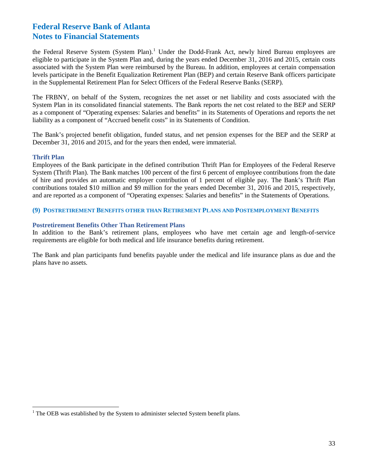the Federal Reserve System (System Plan).<sup>[1](#page-34-0)</sup> Under the Dodd-Frank Act, newly hired Bureau employees are eligible to participate in the System Plan and, during the years ended December 31, 2016 and 2015, certain costs associated with the System Plan were reimbursed by the Bureau. In addition, employees at certain compensation levels participate in the Benefit Equalization Retirement Plan (BEP) and certain Reserve Bank officers participate in the Supplemental Retirement Plan for Select Officers of the Federal Reserve Banks (SERP).

The FRBNY, on behalf of the System, recognizes the net asset or net liability and costs associated with the System Plan in its consolidated financial statements. The Bank reports the net cost related to the BEP and SERP as a component of "Operating expenses: Salaries and benefits" in its Statements of Operations and reports the net liability as a component of "Accrued benefit costs" in its Statements of Condition.

The Bank's projected benefit obligation, funded status, and net pension expenses for the BEP and the SERP at December 31, 2016 and 2015, and for the years then ended, were immaterial.

#### **Thrift Plan**

Employees of the Bank participate in the defined contribution Thrift Plan for Employees of the Federal Reserve System (Thrift Plan). The Bank matches 100 percent of the first 6 percent of employee contributions from the date of hire and provides an automatic employer contribution of 1 percent of eligible pay. The Bank's Thrift Plan contributions totaled \$10 million and \$9 million for the years ended December 31, 2016 and 2015, respectively, and are reported as a component of "Operating expenses: Salaries and benefits" in the Statements of Operations.

#### **(9) POSTRETIREMENT BENEFITS OTHER THAN RETIREMENT PLANS AND POSTEMPLOYMENT BENEFITS**

#### **Postretirement Benefits Other Than Retirement Plans**

In addition to the Bank's retirement plans, employees who have met certain age and length-of-service requirements are eligible for both medical and life insurance benefits during retirement.

The Bank and plan participants fund benefits payable under the medical and life insurance plans as due and the plans have no assets.

<span id="page-34-0"></span> $<sup>1</sup>$  The OEB was established by the System to administer selected System benefit plans.</sup>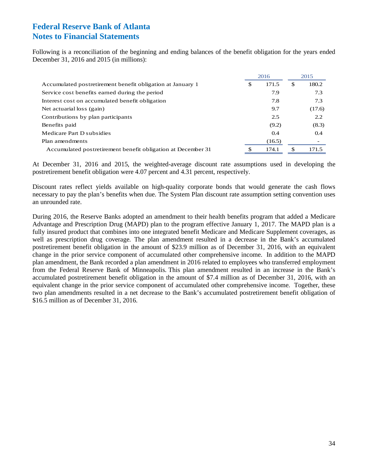Following is a reconciliation of the beginning and ending balances of the benefit obligation for the years ended December 31, 2016 and 2015 (in millions):

|                                                              | 2016 |        | 2015 |        |
|--------------------------------------------------------------|------|--------|------|--------|
| Accumulated postretirement benefit obligation at January 1   | \$   | 171.5  | S    | 180.2  |
| Service cost benefits earned during the period               |      | 7.9    |      | 7.3    |
| Interest cost on accumulated benefit obligation              |      | 7.8    |      | 7.3    |
| Net actuarial loss (gain)                                    |      | 9.7    |      | (17.6) |
| Contributions by plan participants                           |      | 2.5    |      | 2.2    |
| Benefits paid                                                |      | (9.2)  |      | (8.3)  |
| Medicare Part D subsidies                                    |      | 0.4    |      | 0.4    |
| Plan amendments                                              |      | (16.5) |      |        |
| Accumulated postretirement benefit obligation at December 31 | S    | 174.1  | S    | 171.5  |

At December 31, 2016 and 2015, the weighted-average discount rate assumptions used in developing the postretirement benefit obligation were 4.07 percent and 4.31 percent, respectively.

Discount rates reflect yields available on high-quality corporate bonds that would generate the cash flows necessary to pay the plan's benefits when due. The System Plan discount rate assumption setting convention uses an unrounded rate.

During 2016, the Reserve Banks adopted an amendment to their health benefits program that added a Medicare Advantage and Prescription Drug (MAPD) plan to the program effective January 1, 2017. The MAPD plan is a fully insured product that combines into one integrated benefit Medicare and Medicare Supplement coverages, as well as prescription drug coverage. The plan amendment resulted in a decrease in the Bank's accumulated postretirement benefit obligation in the amount of \$23.9 million as of December 31, 2016, with an equivalent change in the prior service component of accumulated other comprehensive income. In addition to the MAPD plan amendment, the Bank recorded a plan amendment in 2016 related to employees who transferred employment from the Federal Reserve Bank of Minneapolis. This plan amendment resulted in an increase in the Bank's accumulated postretirement benefit obligation in the amount of \$7.4 million as of December 31, 2016, with an equivalent change in the prior service component of accumulated other comprehensive income. Together, these two plan amendments resulted in a net decrease to the Bank's accumulated postretirement benefit obligation of \$16.5 million as of December 31, 2016.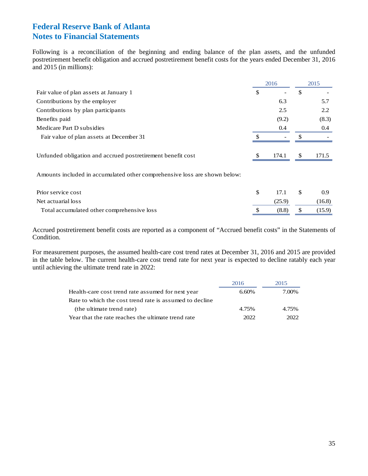Following is a reconciliation of the beginning and ending balance of the plan assets, and the unfunded postretirement benefit obligation and accrued postretirement benefit costs for the years ended December 31, 2016 and 2015 (in millions):

|                                                                           | 2016 |       | 2015 |       |
|---------------------------------------------------------------------------|------|-------|------|-------|
| Fair value of plan assets at January 1                                    | \$   |       | S    |       |
| Contributions by the employer                                             |      | 6.3   |      | 5.7   |
| Contributions by plan participants                                        |      | 2.5   |      | 2.2   |
| Benefits paid                                                             |      | (9.2) |      | (8.3) |
| Medicare Part D subsidies                                                 |      | 0.4   |      | 0.4   |
| Fair value of plan assets at December 31                                  |      |       |      |       |
|                                                                           |      |       |      |       |
| Unfunded obligation and accrued postretirement benefit cost               |      | 174.1 | \$.  | 171.5 |
|                                                                           |      |       |      |       |
| Amounts included in accumulated other comprehensive loss are shown below: |      |       |      |       |

| Prior service cost                         | 17.1   |      | 0.9    |
|--------------------------------------------|--------|------|--------|
| Net actuarial loss                         | (25.9) |      | (16.8) |
| Total accumulated other comprehensive loss | (8.8)  | - \$ | (15.9) |

Accrued postretirement benefit costs are reported as a component of "Accrued benefit costs" in the Statements of Condition.

For measurement purposes, the assumed health-care cost trend rates at December 31, 2016 and 2015 are provided in the table below. The current health-care cost trend rate for next year is expected to decline ratably each year until achieving the ultimate trend rate in 2022:

|                                                         | 2016  | 2015  |
|---------------------------------------------------------|-------|-------|
| Health-care cost trend rate assumed for next year       | 6.60% | 7.00% |
| Rate to which the cost trend rate is assumed to decline |       |       |
| (the ultimate trend rate)                               | 4.75% | 4.75% |
| Year that the rate reaches the ultimate trend rate      | 2022. | 2022  |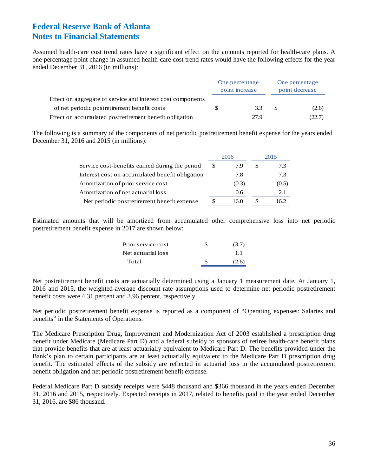Assumed health-care cost trend rates have a significant effect on the amounts reported for health-care plans. A one percentage point change in assumed health-care cost trend rates would have the following effects for the year ended December 31, 2016 (in millions):

|                                                             | One percentage<br>point increase |      | One percentage<br>point decrease |        |
|-------------------------------------------------------------|----------------------------------|------|----------------------------------|--------|
| Effect on aggregate of service and interest cost components |                                  |      |                                  |        |
| of net periodic postretirement benefit costs                |                                  | 3.3  | <b>S</b>                         | (2.6)  |
| Effect on accumulated postretirement benefit obligation     |                                  | 27.9 |                                  | (22.7) |

The following is a summary of the components of net periodic postretirement benefit expense for the years ended December 31, 2016 and 2015 (in millions):

|                                                 |     | 2016  |   | 2015  |  |  |
|-------------------------------------------------|-----|-------|---|-------|--|--|
| Service cost-benefits earned during the period  | S   | 7.9   | S | 7.3   |  |  |
| Interest cost on accumulated benefit obligation |     | 7.8   |   | 7.3   |  |  |
| Amortization of prior service cost              |     | (0.3) |   | (0.5) |  |  |
| Amortization of net actuarial loss              |     | 0.6   |   | 2.1   |  |  |
| Net periodic postretirement benefit expense     | \$. | 16.0  |   | 16.2  |  |  |

Estimated amounts that will be amortized from accumulated other comprehensive loss into net periodic postretirement benefit expense in 2017 are shown below:

| Prior service cost | (3.7) |
|--------------------|-------|
| Net actuarial loss |       |
| Total              | (2.6) |

Net postretirement benefit costs are actuarially determined using a January 1 measurement date. At January 1, 2016 and 2015, the weighted-average discount rate assumptions used to determine net periodic postretirement benefit costs were 4.31 percent and 3.96 percent, respectively.

Net periodic postretirement benefit expense is reported as a component of "Operating expenses: Salaries and benefits" in the Statements of Operations.

The Medicare Prescription Drug, Improvement and Modernization Act of 2003 established a prescription drug benefit under Medicare (Medicare Part D) and a federal subsidy to sponsors of retiree health-care benefit plans that provide benefits that are at least actuarially equivalent to Medicare Part D. The benefits provided under the Bank's plan to certain participants are at least actuarially equivalent to the Medicare Part D prescription drug benefit. The estimated effects of the subsidy are reflected in actuarial loss in the accumulated postretirement benefit obligation and net periodic postretirement benefit expense.

Federal Medicare Part D subsidy receipts were \$448 thousand and \$366 thousand in the years ended December 31, 2016 and 2015, respectively. Expected receipts in 2017, related to benefits paid in the year ended December 31, 2016, are \$86 thousand.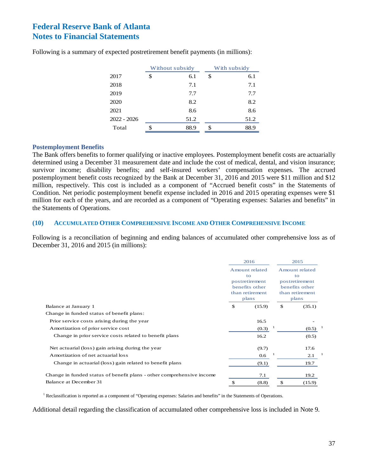|             | Without subsidy | With subsidy |      |  |
|-------------|-----------------|--------------|------|--|
| 2017        | \$<br>6.1       | \$           | 6.1  |  |
| 2018        | 7.1             |              | 7.1  |  |
| 2019        | 7.7             |              | 7.7  |  |
| 2020        | 8.2             |              | 8.2  |  |
| 2021        | 8.6             |              | 8.6  |  |
| 2022 - 2026 | 51.2            |              | 51.2 |  |
| Total       | \$<br>88.9      | \$           | 88.9 |  |

Following is a summary of expected postretirement benefit payments (in millions):

#### **Postemployment Benefits**

The Bank offers benefits to former qualifying or inactive employees. Postemployment benefit costs are actuarially determined using a December 31 measurement date and include the cost of medical, dental, and vision insurance; survivor income; disability benefits; and self-insured workers' compensation expenses. The accrued postemployment benefit costs recognized by the Bank at December 31, 2016 and 2015 were \$11 million and \$12 million, respectively. This cost is included as a component of "Accrued benefit costs" in the Statements of Condition. Net periodic postemployment benefit expense included in 2016 and 2015 operating expenses were \$1 million for each of the years, and are recorded as a component of "Operating expenses: Salaries and benefits" in the Statements of Operations.

#### **(10) ACCUMULATED OTHER COMPREHENSIVE INCOME AND OTHER COMPREHENSIVE INCOME**

Following is a reconciliation of beginning and ending balances of accumulated other comprehensive loss as of December 31, 2016 and 2015 (in millions):

|                                                                       | 2016 |                                                                                      |  | 2015                                                                                 |        |  |
|-----------------------------------------------------------------------|------|--------------------------------------------------------------------------------------|--|--------------------------------------------------------------------------------------|--------|--|
|                                                                       |      | Amount related<br>to<br>postretirement<br>benefits other<br>than retirement<br>plans |  | Amount related<br>to<br>postretirement<br>benefits other<br>than retirement<br>plans |        |  |
| Balance at January 1                                                  |      | (15.9)                                                                               |  | $\mathbf{s}$                                                                         | (35.1) |  |
| Change in funded status of benefit plans:                             |      |                                                                                      |  |                                                                                      |        |  |
| Prior service costs arising during the year                           |      | 16.5                                                                                 |  |                                                                                      |        |  |
| Amortization of prior service cost                                    |      | (0.3)                                                                                |  |                                                                                      | (0.5)  |  |
| Change in prior service costs related to benefit plans                |      | 16.2                                                                                 |  |                                                                                      | (0.5)  |  |
| Net actuarial (loss) gain arising during the year                     |      | (9.7)                                                                                |  |                                                                                      | 17.6   |  |
| Amortization of net actuarial loss                                    |      | 0.6                                                                                  |  |                                                                                      | 2.1    |  |
| Change in actuarial (loss) gain related to benefit plans              |      | (9.1)                                                                                |  |                                                                                      | 19.7   |  |
| Change in funded status of benefit plans - other comprehensive income |      | 7.1                                                                                  |  |                                                                                      | 19.2   |  |
| Balance at December 31                                                |      | (8.8)                                                                                |  |                                                                                      | (15.9) |  |

<sup>1</sup> Reclassification is reported as a component of "Operating expenses: Salaries and benefits" in the Statements of Operations.

Additional detail regarding the classification of accumulated other comprehensive loss is included in Note 9.